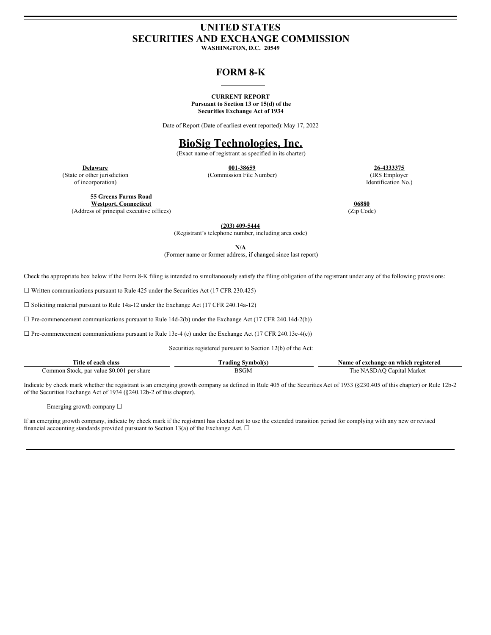# **UNITED STATES SECURITIES AND EXCHANGE COMMISSION**

**WASHINGTON, D.C. 20549**

# **FORM 8-K**

#### **CURRENT REPORT Pursuant to Section 13 or 15(d) of the Securities Exchange Act of 1934**

Date of Report (Date of earliest event reported): May 17, 2022

# **BioSig Technologies, Inc.**

(Exact name of registrant as specified in its charter)

**Delaware 001-38659 26-4333375** (State or other jurisdiction (Commission File Number) (IRS Employer

of incorporation) Identification No.)

**55 Greens Farms Road Westport, Connecticut 06880** (Address of principal executive offices) (Zip Code)

**(203) 409-5444**

(Registrant's telephone number, including area code)

**N/A**

(Former name or former address, if changed since last report)

Check the appropriate box below if the Form 8-K filing is intended to simultaneously satisfy the filing obligation of the registrant under any of the following provisions:

 $\Box$  Written communications pursuant to Rule 425 under the Securities Act (17 CFR 230.425)

☐ Soliciting material pursuant to Rule 14a-12 under the Exchange Act (17 CFR 240.14a-12)

 $\Box$  Pre-commencement communications pursuant to Rule 14d-2(b) under the Exchange Act (17 CFR 240.14d-2(b))

 $\Box$  Pre-commencement communications pursuant to Rule 13e-4 (c) under the Exchange Act (17 CFR 240.13e-4(c))

Securities registered pursuant to Section 12(b) of the Act:

| l'itle of each class                      | - Symbol(s.<br>rading | Name of exchange on which registered |
|-------------------------------------------|-----------------------|--------------------------------------|
| Common Stock, par value \$0.001 per share | ''SGM                 | The NASDAO Capital Market            |
| .                                         |                       |                                      |

Indicate by check mark whether the registrant is an emerging growth company as defined in Rule 405 of the Securities Act of 1933 (§230.405 of this chapter) or Rule 12b-2 of the Securities Exchange Act of 1934 (§240.12b-2 of this chapter).

Emerging growth company ☐

If an emerging growth company, indicate by check mark if the registrant has elected not to use the extended transition period for complying with any new or revised financial accounting standards provided pursuant to Section 13(a) of the Exchange Act.  $\Box$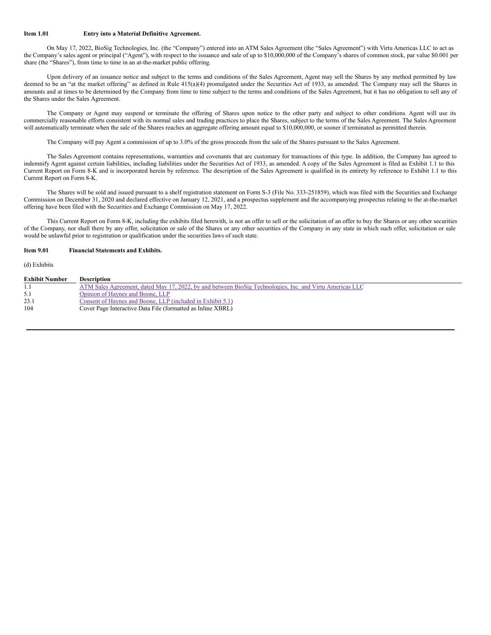#### **Item 1.01 Entry into a Material Definitive Agreement.**

On May 17, 2022, BioSig Technologies, Inc. (the "Company") entered into an ATM Sales Agreement (the "Sales Agreement") with Virtu Americas LLC to act as the Company's sales agent or principal ("Agent"), with respect to the issuance and sale of up to \$10,000,000 of the Company's shares of common stock, par value \$0.001 per share (the "Shares"), from time to time in an at-the-market public offering.

Upon delivery of an issuance notice and subject to the terms and conditions of the Sales Agreement, Agent may sell the Shares by any method permitted by law deemed to be an "at the market offering" as defined in Rule 415(a)(4) promulgated under the Securities Act of 1933, as amended. The Company may sell the Shares in amounts and at times to be determined by the Company from time to time subject to the terms and conditions of the Sales Agreement, but it has no obligation to sell any of the Shares under the Sales Agreement.

The Company or Agent may suspend or terminate the offering of Shares upon notice to the other party and subject to other conditions. Agent will use its commercially reasonable efforts consistent with its normal sales and trading practices to place the Shares, subject to the terms of the Sales Agreement. The Sales Agreement will automatically terminate when the sale of the Shares reaches an aggregate offering amount equal to \$10,000,000, or sooner if terminated as permitted therein.

The Company will pay Agent a commission of up to 3.0% of the gross proceeds from the sale of the Shares pursuant to the Sales Agreement.

The Sales Agreement contains representations, warranties and covenants that are customary for transactions of this type. In addition, the Company has agreed to indemnify Agent against certain liabilities, including liabilities under the Securities Act of 1933, as amended. A copy of the Sales Agreement is filed as Exhibit 1.1 to this Current Report on Form 8-K and is incorporated herein by reference. The description of the Sales Agreement is qualified in its entirety by reference to Exhibit 1.1 to this Current Report on Form 8-K.

The Shares will be sold and issued pursuant to a shelf registration statement on Form S-3 (File No. 333-251859), which was filed with the Securities and Exchange Commission on December 31, 2020 and declared effective on January 12, 2021, and a prospectus supplement and the accompanying prospectus relating to the at-the-market offering have been filed with the Securities and Exchange Commission on May 17, 2022.

This Current Report on Form 8-K, including the exhibits filed herewith, is not an offer to sell or the solicitation of an offer to buy the Shares or any other securities of the Company, nor shall there by any offer, solicitation or sale of the Shares or any other securities of the Company in any state in which such offer, solicitation or sale would be unlawful prior to registration or qualification under the securities laws of such state.

#### **Item 9.01 Financial Statements and Exhibits.**

(d) Exhibits

| <b>Exhibit Number</b> | <b>Description</b>                                                                                       |
|-----------------------|----------------------------------------------------------------------------------------------------------|
|                       | ATM Sales Agreement, dated May 17, 2022, by and between BioSig Technologies, Inc. and Virtu Americas LLC |
| 5.1                   | Opinion of Haynes and Boone, LLP                                                                         |
| 23.1                  | Consent of Haynes and Boone, LLP (included in Exhibit 5.1)                                               |
| 104                   | Cover Page Interactive Data File (formatted as Inline XBRL)                                              |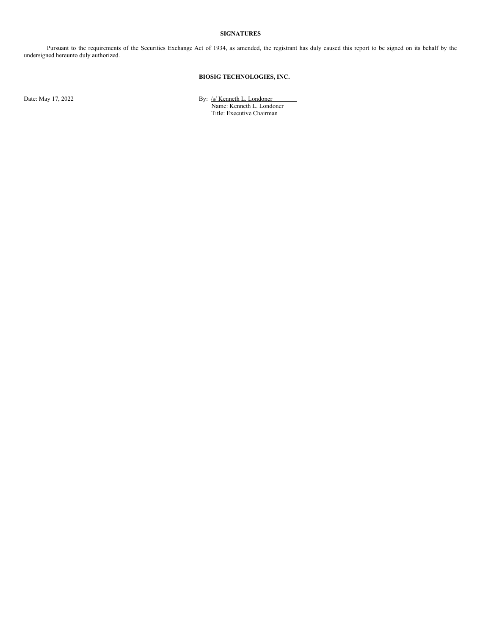#### **SIGNATURES**

Pursuant to the requirements of the Securities Exchange Act of 1934, as amended, the registrant has duly caused this report to be signed on its behalf by the undersigned hereunto duly authorized.

# **BIOSIG TECHNOLOGIES, INC.**

Date: May 17, 2022 **By:** /s/ Kenneth L. Londoner

Name: Kenneth L. Londoner Title: Executive Chairman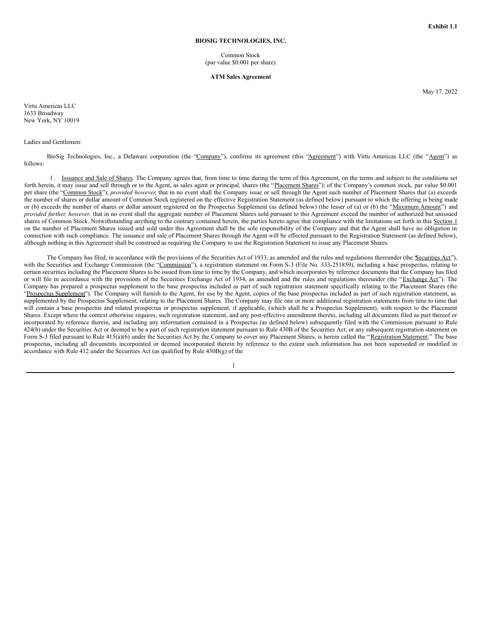#### **BIOSIG TECHNOLOGIES, INC.**

Common Stock (par value \$0.001 per share)

#### **ATM Sales Agreement**

May 17, 2022

Virtu Americas LLC 1633 Broadway New York, NY 10019

#### Ladies and Gentlemen:

BioSig Technologies, Inc., a Delaware corporation (the "Company"), confirms its agreement (this "Agreement") with Virtu Americas LLC (the "Agent") as follows:

1. Issuance and Sale of Shares. The Company agrees that, from time to time during the term of this Agreement, on the terms and subject to the conditions set forth herein, it may issue and sell through or to the Agent, as sales agent or principal, shares (the "Placement Shares"); of the Company's common stock, par value \$0.001 per share (the "Common Stock"); *provided however,* that in no event shall the Company issue or sell through the Agent such number of Placement Shares that (a) exceeds the number of shares or dollar amount of Common Stock registered on the effective Registration Statement (as defined below) pursuant to which the offering is being made or (b) exceeds the number of shares or dollar amount registered on the Prospectus Supplement (as defined below) (the lesser of (a) or (b) the "Maximum Amount") and *provided further, however,* that in no event shall the aggregate number of Placement Shares sold pursuant to this Agreement exceed the number of authorized but unissued shares of Common Stock. Notwithstanding anything to the contrary contained herein, the parties hereto agree that compliance with the limitations set forth in this Section 1 on the number of Placement Shares issued and sold under this Agreement shall be the sole responsibility of the Company and that the Agent shall have no obligation in connection with such compliance. The issuance and sale of Placement Shares through the Agent will be effected pursuant to the Registration Statement (as defined below), although nothing in this Agreement shall be construed as requiring the Company to use the Registration Statement to issue any Placement Shares.

The Company has filed, in accordance with the provisions of the Securities Act of 1933, as amended and the rules and regulations thereunder (the *Securities Act''*), with the Securities and Exchange Commission (the "Commission"), a registration statement on Form S-3 (File No. 333-251859), including a base prospectus, relating to certain securities including the Placement Shares to be issued from time to time by the Company, and which incorporates by reference documents that the Company has filed or will file in accordance with the provisions of the Securities Exchange Act of 1934, as amended and the rules and regulations thereunder (the "Exchange Act"). The Company has prepared a prospectus supplement to the base prospectus included as part of such registration statement specifically relating to the Placement Shares (the "Prospectus Supplement"). The Company will furnish to the Agent, for use by the Agent, copies of the base prospectus included as part of such registration statement, as supplemented by the Prospectus Supplement, relating to the Placement Shares. The Company may file one or more additional registration statements from time to time that will contain a base prospectus and related prospectus or prospectus supplement, if applicable, (which shall be a Prospectus Supplement), with respect to the Placement Shares. Except where the context otherwise requires, such registration statement, and any post-effective amendment thereto, including all documents filed as part thereof or incorporated by reference therein, and including any information contained in a Prospectus (as defined below) subsequently filed with the Commission pursuant to Rule 424(b) under the Securities Act or deemed to be a part of such registration statement pursuant to Rule 430B of the Securities Act, or any subsequent registration statement on Form S-3 filed pursuant to Rule 415(a)(6) under the Securities Act by the Company to cover any Placement Shares, is herein called the "Registration Statement." The base prospectus, including all documents incorporated or deemed incorporated therein by reference to the extent such information has not been superseded or modified in accordance with Rule 412 under the Securities Act (as qualified by Rule 430B(g) of the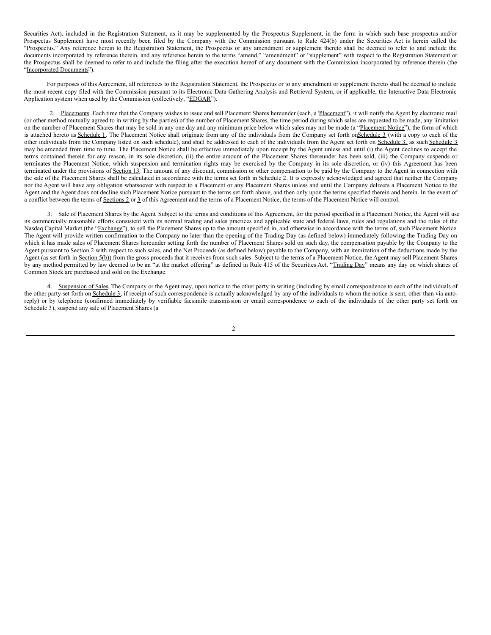Securities Act), included in the Registration Statement, as it may be supplemented by the Prospectus Supplement, in the form in which such base prospectus and/or Prospectus Supplement have most recently been filed by the Company with the Commission pursuant to Rule 424(b) under the Securities Act is herein called the "Prospectus." Any reference herein to the Registration Statement, the Prospectus or any amendment or supplement thereto shall be deemed to refer to and include the documents incorporated by reference therein, and any reference herein to the terms "amend," "amendment" or "supplement" with respect to the Registration Statement or the Prospectus shall be deemed to refer to and include the filing after the execution hereof of any document with the Commission incorporated by reference therein (the "Incorporated Documents").

For purposes of this Agreement, all references to the Registration Statement, the Prospectus or to any amendment or supplement thereto shall be deemed to include the most recent copy filed with the Commission pursuant to its Electronic Data Gathering Analysis and Retrieval System, or if applicable, the Interactive Data Electronic Application system when used by the Commission (collectively, "EDGAR").

2. Placements. Each time that the Company wishes to issue and sell Placement Shares hereunder (each, a Placement"), it will notify the Agent by electronic mail (or other method mutually agreed to in writing by the parties) of the number of Placement Shares, the time period during which sales are requested to be made, any limitation on the number of Placement Shares that may be sold in any one day and any minimum price below which sales may not be made (a "Placement Notice"), the form of which is attached hereto as Schedule 1. The Placement Notice shall originate from any of the individuals from the Company set forth onSchedule 3 (with a copy to each of the other individuals from the Company listed on such schedule), and shall be addressed to each of the individuals from the Agent set forth on Schedule 3, as such Schedule 3 may be amended from time to time. The Placement Notice shall be effective immediately upon receipt by the Agent unless and until (i) the Agent declines to accept the terms contained therein for any reason, in its sole discretion, (ii) the entire amount of the Placement Shares thereunder has been sold, (iii) the Company suspends or terminates the Placement Notice, which suspension and termination rights may be exercised by the Company in its sole discretion, or (iv) this Agreement has been terminated under the provisions of Section 13. The amount of any discount, commission or other compensation to be paid by the Company to the Agent in connection with the sale of the Placement Shares shall be calculated in accordance with the terms set forth in Schedule 2. It is expressly acknowledged and agreed that neither the Company nor the Agent will have any obligation whatsoever with respect to a Placement or any Placement Shares unless and until the Company delivers a Placement Notice to the Agent and the Agent does not decline such Placement Notice pursuant to the terms set forth above, and then only upon the terms specified therein and herein. In the event of a conflict between the terms of Sections 2 or 3 of this Agreement and the terms of a Placement Notice, the terms of the Placement Notice will control.

3. Sale of Placement Shares by the Agent. Subject to the terms and conditions of this Agreement, for the period specified in a Placement Notice, the Agent will use its commercially reasonable efforts consistent with its normal trading and sales practices and applicable state and federal laws, rules and regulations and the rules of the Nasdaq Capital Market (the "Exchange"), to sell the Placement Shares up to the amount specified in, and otherwise in accordance with the terms of, such Placement Notice. The Agent will provide written confirmation to the Company no later than the opening of the Trading Day (as defined below) immediately following the Trading Day on which it has made sales of Placement Shares hereunder setting forth the number of Placement Shares sold on such day, the compensation payable by the Company to the Agent pursuant to Section 2 with respect to such sales, and the Net Proceeds (as defined below) payable to the Company, with an itemization of the deductions made by the Agent (as set forth in Section 5(b)) from the gross proceeds that it receives from such sales. Subject to the terms of a Placement Notice, the Agent may sell Placement Shares by any method permitted by law deemed to be an "at the market offering" as defined in Rule 415 of the Securities Act. "Trading Day" means any day on which shares of Common Stock are purchased and sold on the Exchange.

4. Suspension of Sales. The Company or the Agent may, upon notice to the other party in writing (including by email correspondence to each of the individuals of the other party set forth on Schedule 3, if receipt of such correspondence is actually acknowledged by any of the individuals to whom the notice is sent, other than via autoreply) or by telephone (confirmed immediately by verifiable facsimile transmission or email correspondence to each of the individuals of the other party set forth on Schedule 3), suspend any sale of Placement Shares (a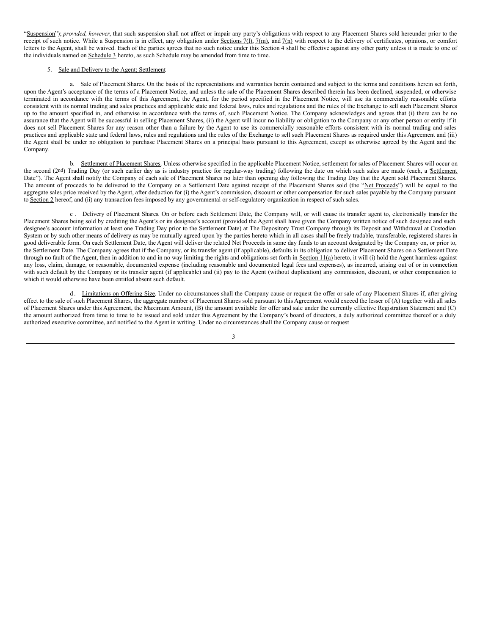"Suspension"); *provided, however*, that such suspension shall not affect or impair any party's obligations with respect to any Placement Shares sold hereunder prior to the receipt of such notice. While a Suspension is in effect, any obligation under Sections 7(1),  $7(m)$ , and  $7(m)$  with respect to the delivery of certificates, opinions, or comfort letters to the Agent, shall be waived. Each of the parties agrees that no such notice under this Section 4 shall be effective against any other party unless it is made to one of the individuals named on Schedule 3 hereto, as such Schedule may be amended from time to time.

#### 5. Sale and Delivery to the Agent; Settlement.

a. Sale of Placement Shares. On the basis of the representations and warranties herein contained and subject to the terms and conditions herein set forth, upon the Agent's acceptance of the terms of a Placement Notice, and unless the sale of the Placement Shares described therein has been declined, suspended, or otherwise terminated in accordance with the terms of this Agreement, the Agent, for the period specified in the Placement Notice, will use its commercially reasonable efforts consistent with its normal trading and sales practices and applicable state and federal laws, rules and regulations and the rules of the Exchange to sell such Placement Shares up to the amount specified in, and otherwise in accordance with the terms of, such Placement Notice. The Company acknowledges and agrees that (i) there can be no assurance that the Agent will be successful in selling Placement Shares, (ii) the Agent will incur no liability or obligation to the Company or any other person or entity if it does not sell Placement Shares for any reason other than a failure by the Agent to use its commercially reasonable efforts consistent with its normal trading and sales practices and applicable state and federal laws, rules and regulations and the rules of the Exchange to sell such Placement Shares as required under this Agreement and (iii) the Agent shall be under no obligation to purchase Placement Shares on a principal basis pursuant to this Agreement, except as otherwise agreed by the Agent and the Company.

b. Settlement of Placement Shares. Unless otherwise specified in the applicable Placement Notice, settlement for sales of Placement Shares will occur on the second (2nd) Trading Day (or such earlier day as is industry practice for regular-way trading) following the date on which such sales are made (each, a Settlement Date"). The Agent shall notify the Company of each sale of Placement Shares no later than opening day following the Trading Day that the Agent sold Placement Shares. The amount of proceeds to be delivered to the Company on a Settlement Date against receipt of the Placement Shares sold (the "Net Proceeds") will be equal to the aggregate sales price received by the Agent, after deduction for (i) the Agent's commission, discount or other compensation for such sales payable by the Company pursuant to Section 2 hereof, and (ii) any transaction fees imposed by any governmental or self-regulatory organization in respect of such sales.

c. Delivery of Placement Shares. On or before each Settlement Date, the Company will, or will cause its transfer agent to, electronically transfer the Placement Shares being sold by crediting the Agent's or its designee's account (provided the Agent shall have given the Company written notice of such designee and such designee's account information at least one Trading Day prior to the Settlement Date) at The Depository Trust Company through its Deposit and Withdrawal at Custodian System or by such other means of delivery as may be mutually agreed upon by the parties hereto which in all cases shall be freely tradable, transferable, registered shares in good deliverable form. On each Settlement Date, the Agent will deliver the related Net Proceeds in same day funds to an account designated by the Company on, or prior to, the Settlement Date. The Company agrees that if the Company, or its transfer agent (if applicable), defaults in its obligation to deliver Placement Shares on a Settlement Date through no fault of the Agent, then in addition to and in no way limiting the rights and obligations set forth in Section 11(a) hereto, it will (i) hold the Agent harmless against any loss, claim, damage, or reasonable, documented expense (including reasonable and documented legal fees and expenses), as incurred, arising out of or in connection with such default by the Company or its transfer agent (if applicable) and (ii) pay to the Agent (without duplication) any commission, discount, or other compensation to which it would otherwise have been entitled absent such default.

d. Limitations on Offering Size. Under no circumstances shall the Company cause or request the offer or sale of any Placement Shares if, after giving effect to the sale of such Placement Shares, the aggregate number of Placement Shares sold pursuant to this Agreement would exceed the lesser of (A) together with all sales of Placement Shares under this Agreement, the Maximum Amount, (B) the amount available for offer and sale under the currently effective Registration Statement and (C) the amount authorized from time to time to be issued and sold under this Agreement by the Company's board of directors, a duly authorized committee thereof or a duly authorized executive committee, and notified to the Agent in writing. Under no circumstances shall the Company cause or request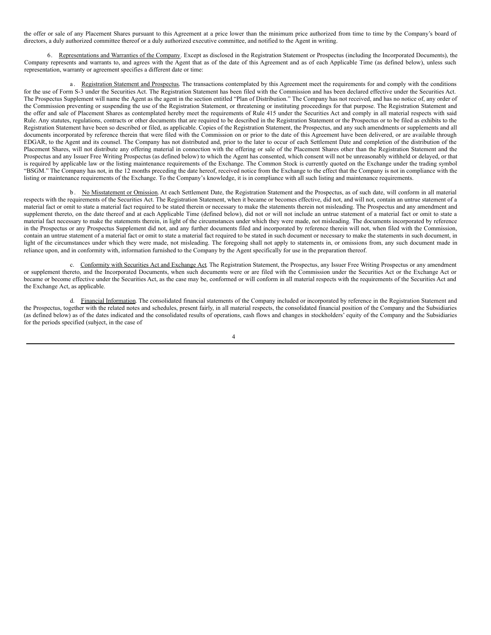the offer or sale of any Placement Shares pursuant to this Agreement at a price lower than the minimum price authorized from time to time by the Company's board of directors, a duly authorized committee thereof or a duly authorized executive committee, and notified to the Agent in writing.

6. Representations and Warranties of the Company. Except as disclosed in the Registration Statement or Prospectus (including the Incorporated Documents), the Company represents and warrants to, and agrees with the Agent that as of the date of this Agreement and as of each Applicable Time (as defined below), unless such representation, warranty or agreement specifies a different date or time:

a. Registration Statement and Prospectus. The transactions contemplated by this Agreement meet the requirements for and comply with the conditions for the use of Form S-3 under the Securities Act. The Registration Statement has been filed with the Commission and has been declared effective under the Securities Act. The Prospectus Supplement will name the Agent as the agent in the section entitled "Plan of Distribution." The Company has not received, and has no notice of, any order of the Commission preventing or suspending the use of the Registration Statement, or threatening or instituting proceedings for that purpose. The Registration Statement and the offer and sale of Placement Shares as contemplated hereby meet the requirements of Rule 415 under the Securities Act and comply in all material respects with said Rule. Any statutes, regulations, contracts or other documents that are required to be described in the Registration Statement or the Prospectus or to be filed as exhibits to the Registration Statement have been so described or filed, as applicable. Copies of the Registration Statement, the Prospectus, and any such amendments or supplements and all documents incorporated by reference therein that were filed with the Commission on or prior to the date of this Agreement have been delivered, or are available through EDGAR, to the Agent and its counsel. The Company has not distributed and, prior to the later to occur of each Settlement Date and completion of the distribution of the Placement Shares, will not distribute any offering material in connection with the offering or sale of the Placement Shares other than the Registration Statement and the Prospectus and any Issuer Free Writing Prospectus (as defined below) to which the Agent has consented, which consent will not be unreasonably withheld or delayed, or that is required by applicable law or the listing maintenance requirements of the Exchange. The Common Stock is currently quoted on the Exchange under the trading symbol "BSGM." The Company has not, in the 12 months preceding the date hereof, received notice from the Exchange to the effect that the Company is not in compliance with the listing or maintenance requirements of the Exchange. To the Company's knowledge, it is in compliance with all such listing and maintenance requirements.

b . No Misstatement or Omission. At each Settlement Date, the Registration Statement and the Prospectus, as of such date, will conform in all material respects with the requirements of the Securities Act. The Registration Statement, when it became or becomes effective, did not, and will not, contain an untrue statement of a material fact or omit to state a material fact required to be stated therein or necessary to make the statements therein not misleading. The Prospectus and any amendment and supplement thereto, on the date thereof and at each Applicable Time (defined below), did not or will not include an untrue statement of a material fact or omit to state a material fact necessary to make the statements therein, in light of the circumstances under which they were made, not misleading. The documents incorporated by reference in the Prospectus or any Prospectus Supplement did not, and any further documents filed and incorporated by reference therein will not, when filed with the Commission, contain an untrue statement of a material fact or omit to state a material fact required to be stated in such document or necessary to make the statements in such document, in light of the circumstances under which they were made, not misleading. The foregoing shall not apply to statements in, or omissions from, any such document made in reliance upon, and in conformity with, information furnished to the Company by the Agent specifically for use in the preparation thereof.

c. Conformity with Securities Act and Exchange Act. The Registration Statement, the Prospectus, any Issuer Free Writing Prospectus or any amendment or supplement thereto, and the Incorporated Documents, when such documents were or are filed with the Commission under the Securities Act or the Exchange Act or became or become effective under the Securities Act, as the case may be, conformed or will conform in all material respects with the requirements of the Securities Act and the Exchange Act, as applicable.

d. Financial Information. The consolidated financial statements of the Company included or incorporated by reference in the Registration Statement and the Prospectus, together with the related notes and schedules, present fairly, in all material respects, the consolidated financial position of the Company and the Subsidiaries (as defined below) as of the dates indicated and the consolidated results of operations, cash flows and changes in stockholders' equity of the Company and the Subsidiaries for the periods specified (subject, in the case of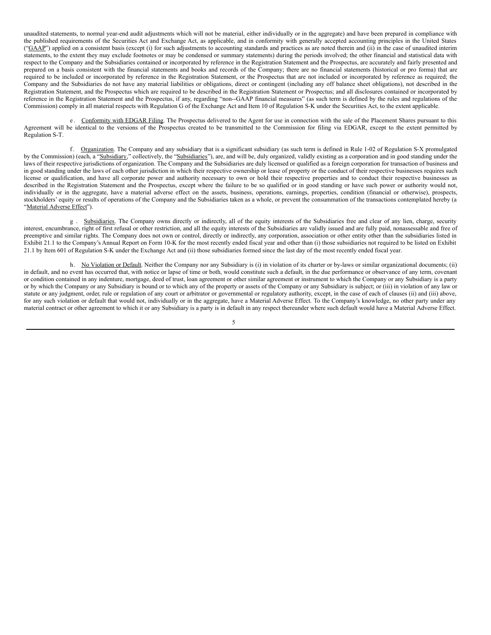unaudited statements, to normal year-end audit adjustments which will not be material, either individually or in the aggregate) and have been prepared in compliance with the published requirements of the Securities Act and Exchange Act, as applicable, and in conformity with generally accepted accounting principles in the United States ("GAAP") applied on a consistent basis (except (i) for such adjustments to accounting standards and practices as are noted therein and (ii) in the case of unaudited interim statements, to the extent they may exclude footnotes or may be condensed or summary statements) during the periods involved; the other financial and statistical data with respect to the Company and the Subsidiaries contained or incorporated by reference in the Registration Statement and the Prospectus, are accurately and fairly presented and prepared on a basis consistent with the financial statements and books and records of the Company; there are no financial statements (historical or pro forma) that are required to be included or incorporated by reference in the Registration Statement, or the Prospectus that are not included or incorporated by reference as required; the Company and the Subsidiaries do not have any material liabilities or obligations, direct or contingent (including any off balance sheet obligations), not described in the Registration Statement, and the Prospectus which are required to be described in the Registration Statement or Prospectus; and all disclosures contained or incorporated by reference in the Registration Statement and the Prospectus, if any, regarding "non-‐GAAP financial measures" (as such term is defined by the rules and regulations of the Commission) comply in all material respects with Regulation G of the Exchange Act and Item 10 of Regulation S-K under the Securities Act, to the extent applicable.

e. Conformity with EDGAR Filing. The Prospectus delivered to the Agent for use in connection with the sale of the Placement Shares pursuant to this Agreement will be identical to the versions of the Prospectus created to be transmitted to the Commission for filing via EDGAR, except to the extent permitted by Regulation S-T.

f. Organization. The Company and any subsidiary that is a significant subsidiary (as such term is defined in Rule 1-02 of Regulation S-X promulgated by the Commission) (each, a "Subsidiary," collectively, the "Subsidiaries"), are, and will be, duly organized, validly existing as a corporation and in good standing under the laws of their respective jurisdictions of organization. The Company and the Subsidiaries are duly licensed or qualified as a foreign corporation for transaction of business and in good standing under the laws of each other jurisdiction in which their respective ownership or lease of property or the conduct of their respective businesses requires such license or qualification, and have all corporate power and authority necessary to own or hold their respective properties and to conduct their respective businesses as described in the Registration Statement and the Prospectus, except where the failure to be so qualified or in good standing or have such power or authority would not, individually or in the aggregate, have a material adverse effect on the assets, business, operations, earnings, properties, condition (financial or otherwise), prospects, stockholders' equity or results of operations of the Company and the Subsidiaries taken as a whole, or prevent the consummation of the transactions contemplated hereby (a "Material Adverse Effect").

g . Subsidiaries. The Company owns directly or indirectly, all of the equity interests of the Subsidiaries free and clear of any lien, charge, security interest, encumbrance, right of first refusal or other restriction, and all the equity interests of the Subsidiaries are validly issued and are fully paid, nonassessable and free of preemptive and similar rights. The Company does not own or control, directly or indirectly, any corporation, association or other entity other than the subsidiaries listed in Exhibit 21.1 to the Company's Annual Report on Form 10-K for the most recently ended fiscal year and other than (i) those subsidiaries not required to be listed on Exhibit 21.1 by Item 601 of Regulation S-K under the Exchange Act and (ii) those subsidiaries formed since the last day of the most recently ended fiscal year.

h. No Violation or Default. Neither the Company nor any Subsidiary is (i) in violation of its charter or by-laws or similar organizational documents; (ii) in default, and no event has occurred that, with notice or lapse of time or both, would constitute such a default, in the due performance or observance of any term, covenant or condition contained in any indenture, mortgage, deed of trust, loan agreement or other similar agreement or instrument to which the Company or any Subsidiary is a party or by which the Company or any Subsidiary is bound or to which any of the property or assets of the Company or any Subsidiary is subject; or (iii) in violation of any law or statute or any judgment, order, rule or regulation of any court or arbitrator or governmental or regulatory authority, except, in the case of each of clauses (ii) and (iii) above, for any such violation or default that would not, individually or in the aggregate, have a Material Adverse Effect. To the Company's knowledge, no other party under any material contract or other agreement to which it or any Subsidiary is a party is in default in any respect thereunder where such default would have a Material Adverse Effect.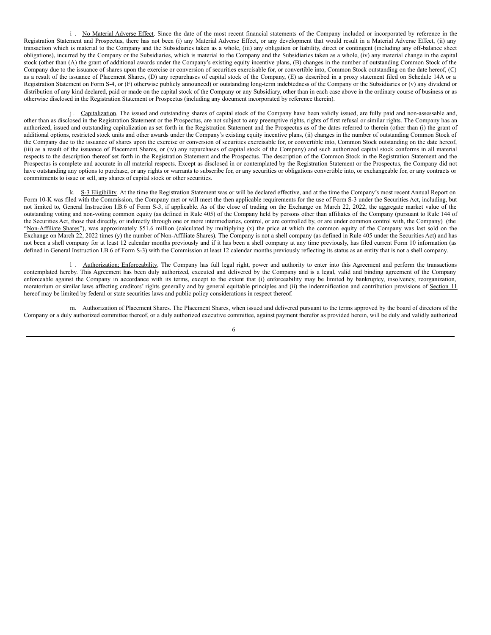i. No Material Adverse Effect. Since the date of the most recent financial statements of the Company included or incorporated by reference in the Registration Statement and Prospectus, there has not been (i) any Material Adverse Effect, or any development that would result in a Material Adverse Effect, (ii) any transaction which is material to the Company and the Subsidiaries taken as a whole, (iii) any obligation or liability, direct or contingent (including any off-balance sheet obligations), incurred by the Company or the Subsidiaries, which is material to the Company and the Subsidiaries taken as a whole, (iv) any material change in the capital stock (other than (A) the grant of additional awards under the Company's existing equity incentive plans, (B) changes in the number of outstanding Common Stock of the Company due to the issuance of shares upon the exercise or conversion of securities exercisable for, or convertible into, Common Stock outstanding on the date hereof, (C) as a result of the issuance of Placement Shares, (D) any repurchases of capital stock of the Company, (E) as described in a proxy statement filed on Schedule 14A or a Registration Statement on Form S-4, or (F) otherwise publicly announced) or outstanding long-term indebtedness of the Company or the Subsidiaries or (v) any dividend or distribution of any kind declared, paid or made on the capital stock of the Company or any Subsidiary, other than in each case above in the ordinary course of business or as otherwise disclosed in the Registration Statement or Prospectus (including any document incorporated by reference therein).

j. Capitalization. The issued and outstanding shares of capital stock of the Company have been validly issued, are fully paid and non-assessable and, other than as disclosed in the Registration Statement or the Prospectus, are not subject to any preemptive rights, rights of first refusal or similar rights. The Company has an authorized, issued and outstanding capitalization as set forth in the Registration Statement and the Prospectus as of the dates referred to therein (other than (i) the grant of additional options, restricted stock units and other awards under the Company's existing equity incentive plans, (ii) changes in the number of outstanding Common Stock of the Company due to the issuance of shares upon the exercise or conversion of securities exercisable for, or convertible into, Common Stock outstanding on the date hereof, (iii) as a result of the issuance of Placement Shares, or (iv) any repurchases of capital stock of the Company) and such authorized capital stock conforms in all material respects to the description thereof set forth in the Registration Statement and the Prospectus. The description of the Common Stock in the Registration Statement and the Prospectus is complete and accurate in all material respects. Except as disclosed in or contemplated by the Registration Statement or the Prospectus, the Company did not have outstanding any options to purchase, or any rights or warrants to subscribe for, or any securities or obligations convertible into, or exchangeable for, or any contracts or commitments to issue or sell, any shares of capital stock or other securities.

k. S-3 Eligibility. At the time the Registration Statement was or will be declared effective, and at the time the Company's most recent Annual Report on Form 10-K was filed with the Commission, the Company met or will meet the then applicable requirements for the use of Form S-3 under the Securities Act, including, but not limited to, General Instruction I.B.6 of Form S-3, if applicable. As of the close of trading on the Exchange on March 22, 2022, the aggregate market value of the outstanding voting and non-voting common equity (as defined in Rule 405) of the Company held by persons other than affiliates of the Company (pursuant to Rule 144 of the Securities Act, those that directly, or indirectly through one or more intermediaries, control, or are controlled by, or are under common control with, the Company) (the "Non-Affiliate Shares"), was approximately \$51.6 million (calculated by multiplying (x) the price at which the common equity of the Company was last sold on the Exchange on March 22, 2022 times (y) the number of Non-Affiliate Shares). The Company is not a shell company (as defined in Rule 405 under the Securities Act) and has not been a shell company for at least 12 calendar months previously and if it has been a shell company at any time previously, has filed current Form 10 information (as defined in General Instruction I.B.6 of Form S-3) with the Commission at least 12 calendar months previously reflecting its status as an entity that is not a shell company.

l . Authorization; Enforceability. The Company has full legal right, power and authority to enter into this Agreement and perform the transactions contemplated hereby. This Agreement has been duly authorized, executed and delivered by the Company and is a legal, valid and binding agreement of the Company enforceable against the Company in accordance with its terms, except to the extent that (i) enforceability may be limited by bankruptcy, insolvency, reorganization, moratorium or similar laws affecting creditors' rights generally and by general equitable principles and (ii) the indemnification and contribution provisions of Section 11 hereof may be limited by federal or state securities laws and public policy considerations in respect thereof.

m. Authorization of Placement Shares. The Placement Shares, when issued and delivered pursuant to the terms approved by the board of directors of the Company or a duly authorized committee thereof, or a duly authorized executive committee, against payment therefor as provided herein, will be duly and validly authorized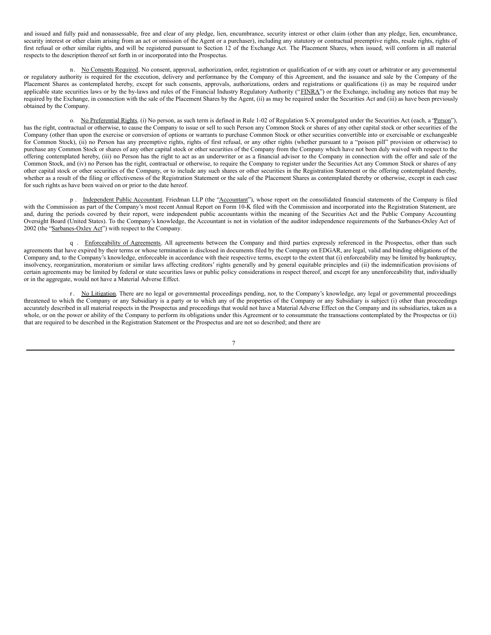and issued and fully paid and nonassessable, free and clear of any pledge, lien, encumbrance, security interest or other claim (other than any pledge, lien, encumbrance, security interest or other claim arising from an act or omission of the Agent or a purchaser), including any statutory or contractual preemptive rights, resale rights, rights of first refusal or other similar rights, and will be registered pursuant to Section 12 of the Exchange Act. The Placement Shares, when issued, will conform in all material respects to the description thereof set forth in or incorporated into the Prospectus.

n. No Consents Required. No consent, approval, authorization, order, registration or qualification of or with any court or arbitrator or any governmental or regulatory authority is required for the execution, delivery and performance by the Company of this Agreement, and the issuance and sale by the Company of the Placement Shares as contemplated hereby, except for such consents, approvals, authorizations, orders and registrations or qualifications (i) as may be required under applicable state securities laws or by the by-laws and rules of the Financial Industry Regulatory Authority ("FINRA") or the Exchange, including any notices that may be required by the Exchange, in connection with the sale of the Placement Shares by the Agent, (ii) as may be required under the Securities Act and (iii) as have been previously obtained by the Company.

o. No Preferential Rights. (i) No person, as such term is defined in Rule 1-02 of Regulation S-X promulgated under the Securities Act (each, a 'Person'), has the right, contractual or otherwise, to cause the Company to issue or sell to such Person any Common Stock or shares of any other capital stock or other securities of the Company (other than upon the exercise or conversion of options or warrants to purchase Common Stock or other securities convertible into or exercisable or exchangeable for Common Stock), (ii) no Person has any preemptive rights, rights of first refusal, or any other rights (whether pursuant to a "poison pill" provision or otherwise) to purchase any Common Stock or shares of any other capital stock or other securities of the Company from the Company which have not been duly waived with respect to the offering contemplated hereby, (iii) no Person has the right to act as an underwriter or as a financial advisor to the Company in connection with the offer and sale of the Common Stock, and (iv) no Person has the right, contractual or otherwise, to require the Company to register under the Securities Act any Common Stock or shares of any other capital stock or other securities of the Company, or to include any such shares or other securities in the Registration Statement or the offering contemplated thereby, whether as a result of the filing or effectiveness of the Registration Statement or the sale of the Placement Shares as contemplated thereby or otherwise, except in each case for such rights as have been waived on or prior to the date hereof.

p . Independent Public Accountant. Friedman LLP (the "Accountant"), whose report on the consolidated financial statements of the Company is filed with the Commission as part of the Company's most recent Annual Report on Form 10-K filed with the Commission and incorporated into the Registration Statement, are and, during the periods covered by their report, were independent public accountants within the meaning of the Securities Act and the Public Company Accounting Oversight Board (United States). To the Company's knowledge, the Accountant is not in violation of the auditor independence requirements of the Sarbanes-Oxley Act of 2002 (the "Sarbanes-Oxley Act") with respect to the Company.

q . Enforceability of Agreements. All agreements between the Company and third parties expressly referenced in the Prospectus, other than such agreements that have expired by their terms or whose termination is disclosed in documents filed by the Company on EDGAR, are legal, valid and binding obligations of the Company and, to the Company's knowledge, enforceable in accordance with their respective terms, except to the extent that (i) enforceability may be limited by bankruptcy, insolvency, reorganization, moratorium or similar laws affecting creditors' rights generally and by general equitable principles and (ii) the indemnification provisions of certain agreements may be limited by federal or state securities laws or public policy considerations in respect thereof, and except for any unenforceability that, individually or in the aggregate, would not have a Material Adverse Effect.

r. No Litigation. There are no legal or governmental proceedings pending, nor, to the Company's knowledge, any legal or governmental proceedings threatened to which the Company or any Subsidiary is a party or to which any of the properties of the Company or any Subsidiary is subject (i) other than proceedings accurately described in all material respects in the Prospectus and proceedings that would not have a Material Adverse Effect on the Company and its subsidiaries, taken as a whole, or on the power or ability of the Company to perform its obligations under this Agreement or to consummate the transactions contemplated by the Prospectus or (ii) that are required to be described in the Registration Statement or the Prospectus and are not so described; and there are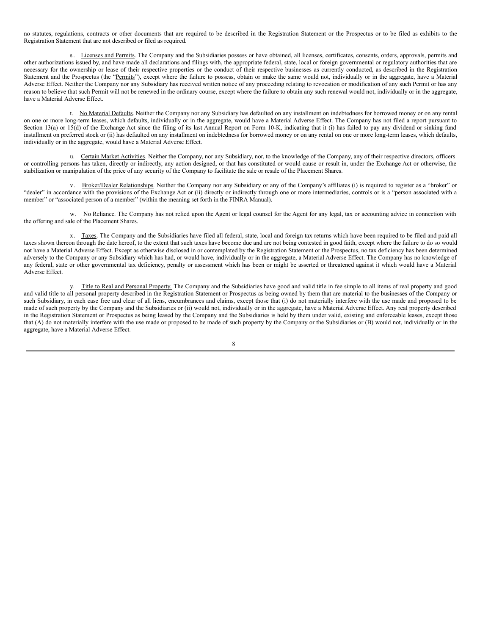no statutes, regulations, contracts or other documents that are required to be described in the Registration Statement or the Prospectus or to be filed as exhibits to the Registration Statement that are not described or filed as required.

s. Licenses and Permits. The Company and the Subsidiaries possess or have obtained, all licenses, certificates, consents, orders, approvals, permits and other authorizations issued by, and have made all declarations and filings with, the appropriate federal, state, local or foreign governmental or regulatory authorities that are necessary for the ownership or lease of their respective properties or the conduct of their respective businesses as currently conducted, as described in the Registration Statement and the Prospectus (the "Permits"), except where the failure to possess, obtain or make the same would not, individually or in the aggregate, have a Material Adverse Effect. Neither the Company nor any Subsidiary has received written notice of any proceeding relating to revocation or modification of any such Permit or has any reason to believe that such Permit will not be renewed in the ordinary course, except where the failure to obtain any such renewal would not, individually or in the aggregate, have a Material Adverse Effect.

t. No Material Defaults. Neither the Company nor any Subsidiary has defaulted on any installment on indebtedness for borrowed money or on any rental on one or more long-term leases, which defaults, individually or in the aggregate, would have a Material Adverse Effect. The Company has not filed a report pursuant to Section 13(a) or 15(d) of the Exchange Act since the filing of its last Annual Report on Form 10-K, indicating that it (i) has failed to pay any dividend or sinking fund installment on preferred stock or (ii) has defaulted on any installment on indebtedness for borrowed money or on any rental on one or more long-term leases, which defaults, individually or in the aggregate, would have a Material Adverse Effect.

u. Certain Market Activities. Neither the Company, nor any Subsidiary, nor, to the knowledge of the Company, any of their respective directors, officers or controlling persons has taken, directly or indirectly, any action designed, or that has constituted or would cause or result in, under the Exchange Act or otherwise, the stabilization or manipulation of the price of any security of the Company to facilitate the sale or resale of the Placement Shares.

v. Broker/Dealer Relationships. Neither the Company nor any Subsidiary or any of the Company's affiliates (i) is required to register as a "broker" or "dealer" in accordance with the provisions of the Exchange Act or (ii) directly or indirectly through one or more intermediaries, controls or is a "person associated with a member" or "associated person of a member" (within the meaning set forth in the FINRA Manual).

w. No Reliance. The Company has not relied upon the Agent or legal counsel for the Agent for any legal, tax or accounting advice in connection with the offering and sale of the Placement Shares.

x. Taxes. The Company and the Subsidiaries have filed all federal, state, local and foreign tax returns which have been required to be filed and paid all taxes shown thereon through the date hereof, to the extent that such taxes have become due and are not being contested in good faith, except where the failure to do so would not have a Material Adverse Effect. Except as otherwise disclosed in or contemplated by the Registration Statement or the Prospectus, no tax deficiency has been determined adversely to the Company or any Subsidiary which has had, or would have, individually or in the aggregate, a Material Adverse Effect. The Company has no knowledge of any federal, state or other governmental tax deficiency, penalty or assessment which has been or might be asserted or threatened against it which would have a Material Adverse Effect.

y. Title to Real and Personal Property. The Company and the Subsidiaries have good and valid title in fee simple to all items of real property and good and valid title to all personal property described in the Registration Statement or Prospectus as being owned by them that are material to the businesses of the Company or such Subsidiary, in each case free and clear of all liens, encumbrances and claims, except those that (i) do not materially interfere with the use made and proposed to be made of such property by the Company and the Subsidiaries or (ii) would not, individually or in the aggregate, have a Material Adverse Effect. Any real property described in the Registration Statement or Prospectus as being leased by the Company and the Subsidiaries is held by them under valid, existing and enforceable leases, except those that (A) do not materially interfere with the use made or proposed to be made of such property by the Company or the Subsidiaries or (B) would not, individually or in the aggregate, have a Material Adverse Effect.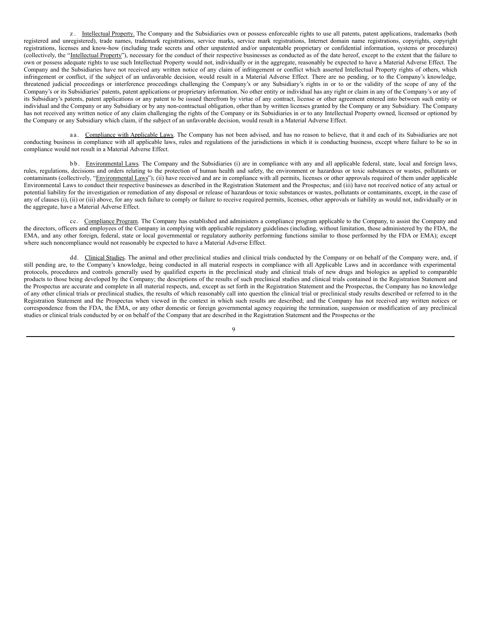z. Intellectual Property. The Company and the Subsidiaries own or possess enforceable rights to use all patents, patent applications, trademarks (both registered and unregistered), trade names, trademark registrations, service marks, service mark registrations, Internet domain name registrations, copyrights, copyright registrations, licenses and know-how (including trade secrets and other unpatented and/or unpatentable proprietary or confidential information, systems or procedures) (collectively, the "Intellectual Property"), necessary for the conduct of their respective businesses as conducted as of the date hereof, except to the extent that the failure to own or possess adequate rights to use such Intellectual Property would not, individually or in the aggregate, reasonably be expected to have a Material Adverse Effect. The Company and the Subsidiaries have not received any written notice of any claim of infringement or conflict which asserted Intellectual Property rights of others, which infringement or conflict, if the subject of an unfavorable decision, would result in a Material Adverse Effect. There are no pending, or to the Company's knowledge, threatened judicial proceedings or interference proceedings challenging the Company's or any Subsidiary's rights in or to or the validity of the scope of any of the Company's or its Subsidiaries' patents, patent applications or proprietary information. No other entity or individual has any right or claim in any of the Company's or any of its Subsidiary's patents, patent applications or any patent to be issued therefrom by virtue of any contract, license or other agreement entered into between such entity or individual and the Company or any Subsidiary or by any non-contractual obligation, other than by written licenses granted by the Company or any Subsidiary. The Company has not received any written notice of any claim challenging the rights of the Company or its Subsidiaries in or to any Intellectual Property owned, licensed or optioned by the Company or any Subsidiary which claim, if the subject of an unfavorable decision, would result in a Material Adverse Effect.

a a. Compliance with Applicable Laws. The Company has not been advised, and has no reason to believe, that it and each of its Subsidiaries are not conducting business in compliance with all applicable laws, rules and regulations of the jurisdictions in which it is conducting business, except where failure to be so in compliance would not result in a Material Adverse Effect.

bb. Environmental Laws. The Company and the Subsidiaries (i) are in compliance with any and all applicable federal, state, local and foreign laws, rules, regulations, decisions and orders relating to the protection of human health and safety, the environment or hazardous or toxic substances or wastes, pollutants or contaminants (collectively, "Environmental Laws"); (ii) have received and are in compliance with all permits, licenses or other approvals required of them under applicable Environmental Laws to conduct their respective businesses as described in the Registration Statement and the Prospectus; and (iii) have not received notice of any actual or potential liability for the investigation or remediation of any disposal or release of hazardous or toxic substances or wastes, pollutants or contaminants, except, in the case of any of clauses (i), (ii) or (iii) above, for any such failure to comply or failure to receive required permits, licenses, other approvals or liability as would not, individually or in the aggregate, have a Material Adverse Effect.

cc. Compliance Program. The Company has established and administers a compliance program applicable to the Company, to assist the Company and the directors, officers and employees of the Company in complying with applicable regulatory guidelines (including, without limitation, those administered by the FDA, the EMA, and any other foreign, federal, state or local governmental or regulatory authority performing functions similar to those performed by the FDA or EMA); except where such noncompliance would not reasonably be expected to have a Material Adverse Effect.

dd. Clinical Studies. The animal and other preclinical studies and clinical trials conducted by the Company or on behalf of the Company were, and, if still pending are, to the Company's knowledge, being conducted in all material respects in compliance with all Applicable Laws and in accordance with experimental protocols, procedures and controls generally used by qualified experts in the preclinical study and clinical trials of new drugs and biologics as applied to comparable products to those being developed by the Company; the descriptions of the results of such preclinical studies and clinical trials contained in the Registration Statement and the Prospectus are accurate and complete in all material respects, and, except as set forth in the Registration Statement and the Prospectus, the Company has no knowledge of any other clinical trials or preclinical studies, the results of which reasonably call into question the clinical trial or preclinical study results described or referred to in the Registration Statement and the Prospectus when viewed in the context in which such results are described; and the Company has not received any written notices or correspondence from the FDA, the EMA, or any other domestic or foreign governmental agency requiring the termination, suspension or modification of any preclinical studies or clinical trials conducted by or on behalf of the Company that are described in the Registration Statement and the Prospectus or the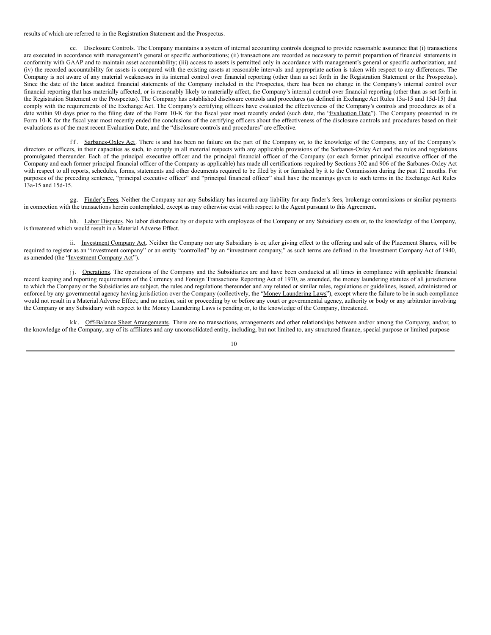results of which are referred to in the Registration Statement and the Prospectus.

ee. Disclosure Controls. The Company maintains a system of internal accounting controls designed to provide reasonable assurance that (i) transactions are executed in accordance with management's general or specific authorizations; (ii) transactions are recorded as necessary to permit preparation of financial statements in conformity with GAAP and to maintain asset accountability; (iii) access to assets is permitted only in accordance with management's general or specific authorization; and (iv) the recorded accountability for assets is compared with the existing assets at reasonable intervals and appropriate action is taken with respect to any differences. The Company is not aware of any material weaknesses in its internal control over financial reporting (other than as set forth in the Registration Statement or the Prospectus). Since the date of the latest audited financial statements of the Company included in the Prospectus, there has been no change in the Company's internal control over financial reporting that has materially affected, or is reasonably likely to materially affect, the Company's internal control over financial reporting (other than as set forth in the Registration Statement or the Prospectus). The Company has established disclosure controls and procedures (as defined in Exchange Act Rules 13a-15 and 15d-15) that comply with the requirements of the Exchange Act. The Company's certifying officers have evaluated the effectiveness of the Company's controls and procedures as of a date within 90 days prior to the filing date of the Form 10-K for the fiscal year most recently ended (such date, the "Evaluation Date"). The Company presented in its Form 10-K for the fiscal year most recently ended the conclusions of the certifying officers about the effectiveness of the disclosure controls and procedures based on their evaluations as of the most recent Evaluation Date, and the "disclosure controls and procedures" are effective.

ff. Sarbanes-Oxley Act. There is and has been no failure on the part of the Company or, to the knowledge of the Company, any of the Company's directors or officers, in their capacities as such, to comply in all material respects with any applicable provisions of the Sarbanes-Oxley Act and the rules and regulations promulgated thereunder. Each of the principal executive officer and the principal financial officer of the Company (or each former principal executive officer of the Company and each former principal financial officer of the Company as applicable) has made all certifications required by Sections 302 and 906 of the Sarbanes-Oxley Act with respect to all reports, schedules, forms, statements and other documents required to be filed by it or furnished by it to the Commission during the past 12 months. For purposes of the preceding sentence, "principal executive officer" and "principal financial officer" shall have the meanings given to such terms in the Exchange Act Rules 13a-15 and 15d-15.

gg. Finder's Fees. Neither the Company nor any Subsidiary has incurred any liability for any finder's fees, brokerage commissions or similar payments in connection with the transactions herein contemplated, except as may otherwise exist with respect to the Agent pursuant to this Agreement.

hh. Labor Disputes. No labor disturbance by or dispute with employees of the Company or any Subsidiary exists or, to the knowledge of the Company, is threatened which would result in a Material Adverse Effect.

ii. Investment Company Act. Neither the Company nor any Subsidiary is or, after giving effect to the offering and sale of the Placement Shares, will be required to register as an "investment company" or an entity "controlled" by an "investment company," as such terms are defined in the Investment Company Act of 1940, as amended (the "Investment Company Act").

jj. Operations. The operations of the Company and the Subsidiaries are and have been conducted at all times in compliance with applicable financial record keeping and reporting requirements of the Currency and Foreign Transactions Reporting Act of 1970, as amended, the money laundering statutes of all jurisdictions to which the Company or the Subsidiaries are subject, the rules and regulations thereunder and any related or similar rules, regulations or guidelines, issued, administered or enforced by any governmental agency having jurisdiction over the Company (collectively, the "Money Laundering Laws"), except where the failure to be in such compliance would not result in a Material Adverse Effect; and no action, suit or proceeding by or before any court or governmental agency, authority or body or any arbitrator involving the Company or any Subsidiary with respect to the Money Laundering Laws is pending or, to the knowledge of the Company, threatened.

kk. Off-Balance Sheet Arrangements. There are no transactions, arrangements and other relationships between and/or among the Company, and/or, to the knowledge of the Company, any of its affiliates and any unconsolidated entity, including, but not limited to, any structured finance, special purpose or limited purpose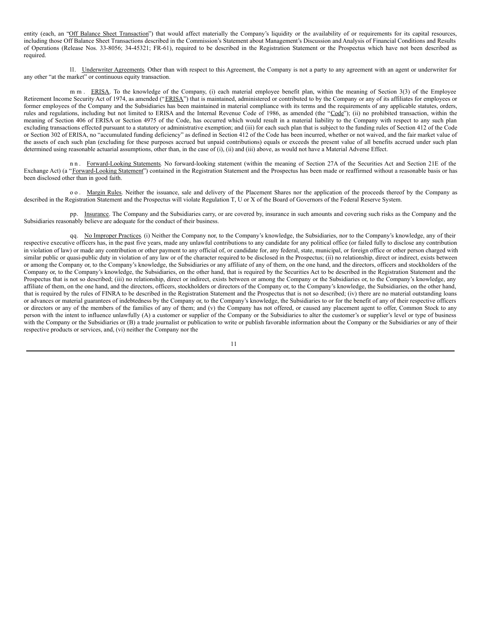entity (each, an "Off Balance Sheet Transaction") that would affect materially the Company's liquidity or the availability of or requirements for its capital resources, including those Off Balance Sheet Transactions described in the Commission's Statement about Management's Discussion and Analysis of Financial Conditions and Results of Operations (Release Nos. 33-8056; 34-45321; FR-61), required to be described in the Registration Statement or the Prospectus which have not been described as required.

ll. Underwriter Agreements. Other than with respect to this Agreement, the Company is not a party to any agreement with an agent or underwriter for any other "at the market" or continuous equity transaction.

m m . ERISA. To the knowledge of the Company, (i) each material employee benefit plan, within the meaning of Section 3(3) of the Employee Retirement Income Security Act of 1974, as amended ("ERISA") that is maintained, administered or contributed to by the Company or any of its affiliates for employees or former employees of the Company and the Subsidiaries has been maintained in material compliance with its terms and the requirements of any applicable statutes, orders, rules and regulations, including but not limited to ERISA and the Internal Revenue Code of 1986, as amended (the "Code"); (ii) no prohibited transaction, within the meaning of Section 406 of ERISA or Section 4975 of the Code, has occurred which would result in a material liability to the Company with respect to any such plan excluding transactions effected pursuant to a statutory or administrative exemption; and (iii) for each such plan that is subject to the funding rules of Section 412 of the Code or Section 302 of ERISA, no "accumulated funding deficiency" as defined in Section 412 of the Code has been incurred, whether or not waived, and the fair market value of the assets of each such plan (excluding for these purposes accrued but unpaid contributions) equals or exceeds the present value of all benefits accrued under such plan determined using reasonable actuarial assumptions, other than, in the case of (i), (ii) and (iii) above, as would not have a Material Adverse Effect.

n n. Forward-Looking Statements. No forward-looking statement (within the meaning of Section 27A of the Securities Act and Section 21E of the Exchange Act) (a "Forward-Looking Statement") contained in the Registration Statement and the Prospectus has been made or reaffirmed without a reasonable basis or has been disclosed other than in good faith.

o o. Margin Rules. Neither the issuance, sale and delivery of the Placement Shares nor the application of the proceeds thereof by the Company as described in the Registration Statement and the Prospectus will violate Regulation T, U or X of the Board of Governors of the Federal Reserve System.

pp. Insurance. The Company and the Subsidiaries carry, or are covered by, insurance in such amounts and covering such risks as the Company and the Subsidiaries reasonably believe are adequate for the conduct of their business.

qq. No Improper Practices. (i) Neither the Company nor, to the Company's knowledge, the Subsidiaries, nor to the Company's knowledge, any of their respective executive officers has, in the past five years, made any unlawful contributions to any candidate for any political office (or failed fully to disclose any contribution in violation of law) or made any contribution or other payment to any official of, or candidate for, any federal, state, municipal, or foreign office or other person charged with similar public or quasi-public duty in violation of any law or of the character required to be disclosed in the Prospectus; (ii) no relationship, direct or indirect, exists between or among the Company or, to the Company's knowledge, the Subsidiaries or any affiliate of any of them, on the one hand, and the directors, officers and stockholders of the Company or, to the Company's knowledge, the Subsidiaries, on the other hand, that is required by the Securities Act to be described in the Registration Statement and the Prospectus that is not so described; (iii) no relationship, direct or indirect, exists between or among the Company or the Subsidiaries or, to the Company's knowledge, any affiliate of them, on the one hand, and the directors, officers, stockholders or directors of the Company or, to the Company's knowledge, the Subsidiaries, on the other hand, that is required by the rules of FINRA to be described in the Registration Statement and the Prospectus that is not so described; (iv) there are no material outstanding loans or advances or material guarantees of indebtedness by the Company or, to the Company's knowledge, the Subsidiaries to or for the benefit of any of their respective officers or directors or any of the members of the families of any of them; and (v) the Company has not offered, or caused any placement agent to offer, Common Stock to any person with the intent to influence unlawfully (A) a customer or supplier of the Company or the Subsidiaries to alter the customer's or supplier's level or type of business with the Company or the Subsidiaries or (B) a trade journalist or publication to write or publish favorable information about the Company or the Subsidiaries or any of their respective products or services, and, (vi) neither the Company nor the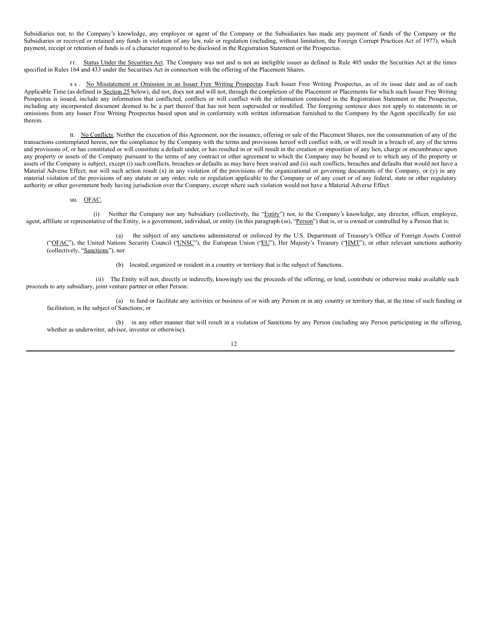Subsidiaries nor, to the Company's knowledge, any employee or agent of the Company or the Subsidiaries has made any payment of funds of the Company or the Subsidiaries or received or retained any funds in violation of any law, rule or regulation (including, without limitation, the Foreign Corrupt Practices Act of 1977), which payment, receipt or retention of funds is of a character required to be disclosed in the Registration Statement or the Prospectus.

rr. Status Under the Securities Act. The Company was not and is not an ineligible issuer as defined in Rule 405 under the Securities Act at the times specified in Rules 164 and 433 under the Securities Act in connection with the offering of the Placement Shares.

s s . No Misstatement or Omission in an Issuer Free Writing Prospectus Each Issuer Free Writing Prospectus, as of its issue date and as of each Applicable Time (as defined in Section 25 below), did not, does not and will not, through the completion of the Placement or Placements for which such Issuer Free Writing Prospectus is issued, include any information that conflicted, conflicts or will conflict with the information contained in the Registration Statement or the Prospectus, including any incorporated document deemed to be a part thereof that has not been superseded or modified. The foregoing sentence does not apply to statements in or omissions from any Issuer Free Writing Prospectus based upon and in conformity with written information furnished to the Company by the Agent specifically for use therein.

tt. No Conflicts. Neither the execution of this Agreement, nor the issuance, offering or sale of the Placement Shares, nor the consummation of any of the transactions contemplated herein, nor the compliance by the Company with the terms and provisions hereof will conflict with, or will result in a breach of, any of the terms and provisions of, or has constituted or will constitute a default under, or has resulted in or will result in the creation or imposition of any lien, charge or encumbrance upon any property or assets of the Company pursuant to the terms of any contract or other agreement to which the Company may be bound or to which any of the property or assets of the Company is subject, except (i) such conflicts, breaches or defaults as may have been waived and (ii) such conflicts, breaches and defaults that would not have a Material Adverse Effect; nor will such action result (x) in any violation of the provisions of the organizational or governing documents of the Company, or (y) in any material violation of the provisions of any statute or any order, rule or regulation applicable to the Company or of any court or of any federal, state or other regulatory authority or other government body having jurisdiction over the Company, except where such violation would not have a Material Adverse Effect.

#### uu. OFAC.

(i) Neither the Company nor any Subsidiary (collectively, the "Entity") nor, to the Company's knowledge, any director, officer, employee, agent, affiliate or representative of the Entity, is a government, individual, or entity (in this paragraph (ss), "Person") that is, or is owned or controlled by a Person that is:

(a) the subject of any sanctions administered or enforced by the U.S. Department of Treasury's Office of Foreign Assets Control ("OFAC"), the United Nations Security Council ('UNSC"), the European Union ("EU"), Her Majesty's Treasury ("HMT"), or other relevant sanctions authority (collectively, "Sanctions"), nor

(b) located, organized or resident in a country or territory that is the subject of Sanctions.

(ii) The Entity will not, directly or indirectly, knowingly use the proceeds of the offering, or lend, contribute or otherwise make available such proceeds to any subsidiary, joint venture partner or other Person:

(a) to fund or facilitate any activities or business of or with any Person or in any country or territory that, at the time of such funding or facilitation, is the subject of Sanctions; or

(b) in any other manner that will result in a violation of Sanctions by any Person (including any Person participating in the offering, whether as underwriter, advisor, investor or otherwise).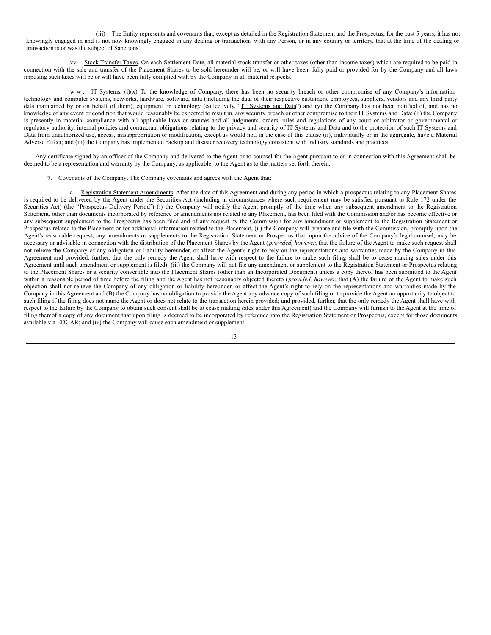(iii) The Entity represents and covenants that, except as detailed in the Registration Statement and the Prospectus, for the past 5 years, it has not knowingly engaged in and is not now knowingly engaged in any dealing or transactions with any Person, or in any country or territory, that at the time of the dealing or transaction is or was the subject of Sanctions.

vv. Stock Transfer Taxes. On each Settlement Date, all material stock transfer or other taxes (other than income taxes) which are required to be paid in connection with the sale and transfer of the Placement Shares to be sold hereunder will be, or will have been, fully paid or provided for by the Company and all laws imposing such taxes will be or will have been fully complied with by the Company in all material respects.

w w . IT Systems. (i)(x) To the knowledge of Company, there has been no security breach or other compromise of any Company's information technology and computer systems, networks, hardware, software, data (including the data of their respective customers, employees, suppliers, vendors and any third party data maintained by or on behalf of them), equipment or technology (collectively, "IT Systems and Data") and (y) the Company has not been notified of, and has no knowledge of any event or condition that would reasonably be expected to result in, any security breach or other compromise to their IT Systems and Data; (ii) the Company is presently in material compliance with all applicable laws or statutes and all judgments, orders, rules and regulations of any court or arbitrator or governmental or regulatory authority, internal policies and contractual obligations relating to the privacy and security of IT Systems and Data and to the protection of such IT Systems and Data from unauthorized use, access, misappropriation or modification, except as would not, in the case of this clause (ii), individually or in the aggregate, have a Material Adverse Effect; and (iii) the Company has implemented backup and disaster recovery technology consistent with industry standards and practices.

Any certificate signed by an officer of the Company and delivered to the Agent or to counsel for the Agent pursuant to or in connection with this Agreement shall be deemed to be a representation and warranty by the Company, as applicable, to the Agent as to the matters set forth therein.

7. Covenants of the Company. The Company covenants and agrees with the Agent that:

a. Registration Statement Amendments. After the date of this Agreement and during any period in which a prospectus relating to any Placement Shares is required to be delivered by the Agent under the Securities Act (including in circumstances where such requirement may be satisfied pursuant to Rule 172 under the Securities Act) (the "Prospectus Delivery Period") (i) the Company will notify the Agent promptly of the time when any subsequent amendment to the Registration Statement, other than documents incorporated by reference or amendments not related to any Placement, has been filed with the Commission and/or has become effective or any subsequent supplement to the Prospectus has been filed and of any request by the Commission for any amendment or supplement to the Registration Statement or Prospectus related to the Placement or for additional information related to the Placement, (ii) the Company will prepare and file with the Commission, promptly upon the Agent's reasonable request, any amendments or supplements to the Registration Statement or Prospectus that, upon the advice of the Company's legal counsel, may be necessary or advisable in connection with the distribution of the Placement Shares by the Agent (*provided, however*, that the failure of the Agent to make such request shall not relieve the Company of any obligation or liability hereunder, or affect the Agent's right to rely on the representations and warranties made by the Company in this Agreement and provided, further, that the only remedy the Agent shall have with respect to the failure to make such filing shall be to cease making sales under this Agreement until such amendment or supplement is filed); (iii) the Company will not file any amendment or supplement to the Registration Statement or Prospectus relating to the Placement Shares or a security convertible into the Placement Shares (other than an Incorporated Document) unless a copy thereof has been submitted to the Agent within a reasonable period of time before the filing and the Agent has not reasonably objected thereto (*provided, however*, that (A) the failure of the Agent to make such objection shall not relieve the Company of any obligation or liability hereunder, or affect the Agent's right to rely on the representations and warranties made by the Company in this Agreement and (B) the Company has no obligation to provide the Agent any advance copy of such filing or to provide the Agent an opportunity to object to such filing if the filing does not name the Agent or does not relate to the transaction herein provided; and provided, further, that the only remedy the Agent shall have with respect to the failure by the Company to obtain such consent shall be to cease making sales under this Agreement) and the Company will furnish to the Agent at the time of filing thereof a copy of any document that upon filing is deemed to be incorporated by reference into the Registration Statement or Prospectus, except for those documents available via EDGAR; and (iv) the Company will cause each amendment or supplement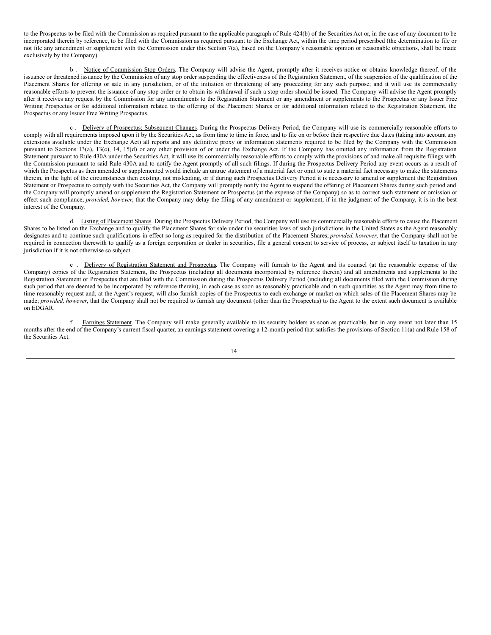to the Prospectus to be filed with the Commission as required pursuant to the applicable paragraph of Rule 424(b) of the Securities Act or, in the case of any document to be incorporated therein by reference, to be filed with the Commission as required pursuant to the Exchange Act, within the time period prescribed (the determination to file or not file any amendment or supplement with the Commission under this Section 7(a), based on the Company's reasonable opinion or reasonable objections, shall be made exclusively by the Company).

b . Notice of Commission Stop Orders. The Company will advise the Agent, promptly after it receives notice or obtains knowledge thereof, of the issuance or threatened issuance by the Commission of any stop order suspending the effectiveness of the Registration Statement, of the suspension of the qualification of the Placement Shares for offering or sale in any jurisdiction, or of the initiation or threatening of any proceeding for any such purpose; and it will use its commercially reasonable efforts to prevent the issuance of any stop order or to obtain its withdrawal if such a stop order should be issued. The Company will advise the Agent promptly after it receives any request by the Commission for any amendments to the Registration Statement or any amendment or supplements to the Prospectus or any Issuer Free Writing Prospectus or for additional information related to the offering of the Placement Shares or for additional information related to the Registration Statement, the Prospectus or any Issuer Free Writing Prospectus.

c . Delivery of Prospectus; Subsequent Changes. During the Prospectus Delivery Period, the Company will use its commercially reasonable efforts to comply with all requirements imposed upon it by the Securities Act, as from time to time in force, and to file on or before their respective due dates (taking into account any extensions available under the Exchange Act) all reports and any definitive proxy or information statements required to be filed by the Company with the Commission pursuant to Sections 13(a), 13(c), 14, 15(d) or any other provision of or under the Exchange Act. If the Company has omitted any information from the Registration Statement pursuant to Rule 430A under the Securities Act, it will use its commercially reasonable efforts to comply with the provisions of and make all requisite filings with the Commission pursuant to said Rule 430A and to notify the Agent promptly of all such filings. If during the Prospectus Delivery Period any event occurs as a result of which the Prospectus as then amended or supplemented would include an untrue statement of a material fact or omit to state a material fact necessary to make the statements therein, in the light of the circumstances then existing, not misleading, or if during such Prospectus Delivery Period it is necessary to amend or supplement the Registration Statement or Prospectus to comply with the Securities Act, the Company will promptly notify the Agent to suspend the offering of Placement Shares during such period and the Company will promptly amend or supplement the Registration Statement or Prospectus (at the expense of the Company) so as to correct such statement or omission or effect such compliance; *provided, however*, that the Company may delay the filing of any amendment or supplement, if in the judgment of the Company, it is in the best interest of the Company.

d. Listing of Placement Shares. During the Prospectus Delivery Period, the Company will use its commercially reasonable efforts to cause the Placement Shares to be listed on the Exchange and to qualify the Placement Shares for sale under the securities laws of such jurisdictions in the United States as the Agent reasonably designates and to continue such qualifications in effect so long as required for the distribution of the Placement Shares; *provided, however*, that the Company shall not be required in connection therewith to qualify as a foreign corporation or dealer in securities, file a general consent to service of process, or subject itself to taxation in any jurisdiction if it is not otherwise so subject.

e . Delivery of Registration Statement and Prospectus. The Company will furnish to the Agent and its counsel (at the reasonable expense of the Company) copies of the Registration Statement, the Prospectus (including all documents incorporated by reference therein) and all amendments and supplements to the Registration Statement or Prospectus that are filed with the Commission during the Prospectus Delivery Period (including all documents filed with the Commission during such period that are deemed to be incorporated by reference therein), in each case as soon as reasonably practicable and in such quantities as the Agent may from time to time reasonably request and, at the Agent's request, will also furnish copies of the Prospectus to each exchange or market on which sales of the Placement Shares may be made; *provided, however*, that the Company shall not be required to furnish any document (other than the Prospectus) to the Agent to the extent such document is available on EDGAR.

f . Earnings Statement. The Company will make generally available to its security holders as soon as practicable, but in any event not later than 15 months after the end of the Company's current fiscal quarter, an earnings statement covering a 12-month period that satisfies the provisions of Section 11(a) and Rule 158 of the Securities Act.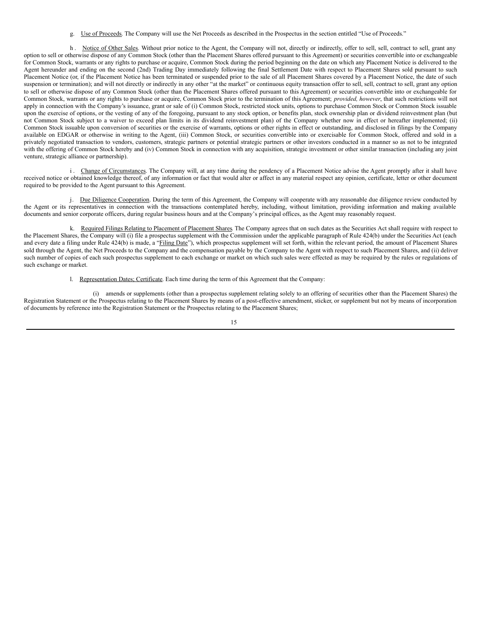g. Use of Proceeds. The Company will use the Net Proceeds as described in the Prospectus in the section entitled "Use of Proceeds."

h. Notice of Other Sales. Without prior notice to the Agent, the Company will not, directly or indirectly, offer to sell, sell, contract to sell, grant any option to sell or otherwise dispose of any Common Stock (other than the Placement Shares offered pursuant to this Agreement) or securities convertible into or exchangeable for Common Stock, warrants or any rights to purchase or acquire, Common Stock during the period beginning on the date on which any Placement Notice is delivered to the Agent hereunder and ending on the second (2nd) Trading Day immediately following the final Settlement Date with respect to Placement Shares sold pursuant to such Placement Notice (or, if the Placement Notice has been terminated or suspended prior to the sale of all Placement Shares covered by a Placement Notice, the date of such suspension or termination); and will not directly or indirectly in any other "at the market" or continuous equity transaction offer to sell, sell, contract to sell, grant any option to sell or otherwise dispose of any Common Stock (other than the Placement Shares offered pursuant to this Agreement) or securities convertible into or exchangeable for Common Stock, warrants or any rights to purchase or acquire, Common Stock prior to the termination of this Agreement; *provided, however*, that such restrictions will not apply in connection with the Company's issuance, grant or sale of (i) Common Stock, restricted stock units, options to purchase Common Stock or Common Stock issuable upon the exercise of options, or the vesting of any of the foregoing, pursuant to any stock option, or benefits plan, stock ownership plan or dividend reinvestment plan (but not Common Stock subject to a waiver to exceed plan limits in its dividend reinvestment plan) of the Company whether now in effect or hereafter implemented; (ii) Common Stock issuable upon conversion of securities or the exercise of warrants, options or other rights in effect or outstanding, and disclosed in filings by the Company available on EDGAR or otherwise in writing to the Agent, (iii) Common Stock, or securities convertible into or exercisable for Common Stock, offered and sold in a privately negotiated transaction to vendors, customers, strategic partners or potential strategic partners or other investors conducted in a manner so as not to be integrated with the offering of Common Stock hereby and (iv) Common Stock in connection with any acquisition, strategic investment or other similar transaction (including any joint venture, strategic alliance or partnership).

i. Change of Circumstances. The Company will, at any time during the pendency of a Placement Notice advise the Agent promptly after it shall have received notice or obtained knowledge thereof, of any information or fact that would alter or affect in any material respect any opinion, certificate, letter or other document required to be provided to the Agent pursuant to this Agreement.

j. Due Diligence Cooperation. During the term of this Agreement, the Company will cooperate with any reasonable due diligence review conducted by the Agent or its representatives in connection with the transactions contemplated hereby, including, without limitation, providing information and making available documents and senior corporate officers, during regular business hours and at the Company's principal offices, as the Agent may reasonably request.

k. Required Filings Relating to Placement of Placement Shares. The Company agrees that on such dates as the Securities Act shall require with respect to the Placement Shares, the Company will (i) file a prospectus supplement with the Commission under the applicable paragraph of Rule 424(b) under the Securities Act (each and every date a filing under Rule 424(b) is made, a "Filing Date"), which prospectus supplement will set forth, within the relevant period, the amount of Placement Shares sold through the Agent, the Net Proceeds to the Company and the compensation payable by the Company to the Agent with respect to such Placement Shares, and (ii) deliver such number of copies of each such prospectus supplement to each exchange or market on which such sales were effected as may be required by the rules or regulations of such exchange or market.

l. Representation Dates; Certificate. Each time during the term of this Agreement that the Company:

(i) amends or supplements (other than a prospectus supplement relating solely to an offering of securities other than the Placement Shares) the Registration Statement or the Prospectus relating to the Placement Shares by means of a post-effective amendment, sticker, or supplement but not by means of incorporation of documents by reference into the Registration Statement or the Prospectus relating to the Placement Shares;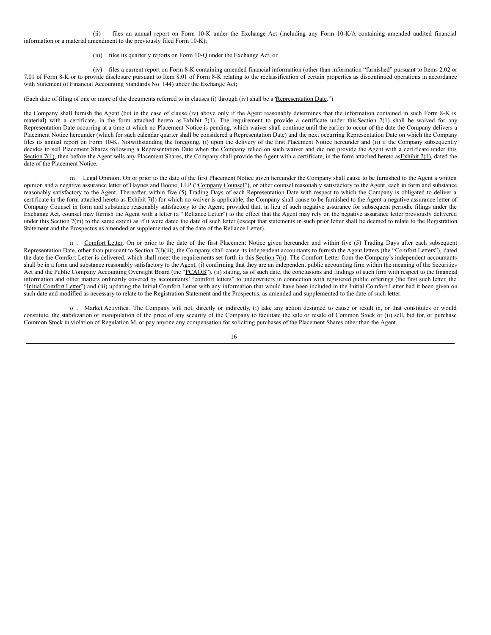<span id="page-18-0"></span>(ii) files an annual report on Form 10-K under the Exchange Act (including any Form 10-K/A containing amended audited financial information or a material amendment to the previously filed Form 10-K);

#### (iii) files its quarterly reports on Form 10-Q under the Exchange Act; or

(iv) files a current report on Form 8-K containing amended financial information (other than information "furnished" pursuant to Items 2.02 or 7.01 of Form 8-K or to provide disclosure pursuant to Item 8.01 of Form 8-K relating to the reclassification of certain properties as discontinued operations in accordance with Statement of Financial Accounting Standards No. 144) under the Exchange Act;

(Each date of filing of one or more of the documents referred to in clauses (i) through (iv) shall be a "Representation Date.")

the Company shall furnish the Agent (but in the case of clause (iv) above only if the Agent reasonably determines that the information contained in such Form 8-K is material) with a certificate, in the form attached hereto as **Exhibit 7(1)**. The requirement to provide a certificate under this Section 7(1) shall be waived for any Representation Date occurring at a time at which no Placement Notice is pending, which waiver shall continue until the earlier to occur of the date the Company delivers a Placement Notice hereunder (which for such calendar quarter shall be considered a Representation Date) and the next occurring Representation Date on which the Company files its annual report on Form 10-K. Notwithstanding the foregoing, (i) upon the delivery of the first Placement Notice hereunder and (ii) if the Company subsequently decides to sell Placement Shares following a Representation Date when the Company relied on such waiver and did not provide the Agent with a certificate under this Section 7(1), then before the Agent sells any Placement Shares, the Company shall provide the Agent with a certificate, in the form attached hereto as Exhibit 7(1), dated the date of the Placement Notice.

m. Legal Opinion. On or prior to the date of the first Placement Notice given hereunder the Company shall cause to be furnished to the Agent a written opinion and a negative assurance letter of Haynes and Boone, LLP ("Company Counsel"), or other counsel reasonably satisfactory to the Agent, each in form and substance reasonably satisfactory to the Agent. Thereafter, within five (5) Trading Days of each Representation Date with respect to which the Company is obligated to deliver a certificate in the form attached hereto as Exhibit 7(l) for which no waiver is applicable, the Company shall cause to be furnished to the Agent a negative assurance letter of Company Counsel in form and substance reasonably satisfactory to the Agent; provided that, in lieu of such negative assurance for subsequent periodic filings under the Exchange Act, counsel may furnish the Agent with a letter (a "Reliance Letter") to the effect that the Agent may rely on the negative assurance letter previously delivered under this Section 7(m) to the same extent as if it were dated the date of such letter (except that statements in such prior letter shall be deemed to relate to the Registration Statement and the Prospectus as amended or supplemented as of the date of the Reliance Letter).

n . Comfort Letter. On or prior to the date of the first Placement Notice given hereunder and within five (5) Trading Days after each subsequent Representation Date, other than pursuant to Section 7(1)(iii), the Company shall cause its independent accountants to furnish the Agent letters (the "Comfort Letters"), dated the date the Comfort Letter is delivered, which shall meet the requirements set forth in this Section 7(n). The Comfort Letter from the Company's independent accountants shall be in a form and substance reasonably satisfactory to the Agent, (i) confirming that they are an independent public accounting firm within the meaning of the Securities Act and the Public Company Accounting Oversight Board (the "PCAOB"), (ii) stating, as of such date, the conclusions and findings of such firm with respect to the financial information and other matters ordinarily covered by accountants' "comfort letters" to underwriters in connection with registered public offerings (the first such letter, the "Initial Comfort Letter") and (iii) updating the Initial Comfort Letter with any information that would have been included in the Initial Comfort Letter had it been given on such date and modified as necessary to relate to the Registration Statement and the Prospectus, as amended and supplemented to the date of such letter.

o . Market Activities. The Company will not, directly or indirectly, (i) take any action designed to cause or result in, or that constitutes or would constitute, the stabilization or manipulation of the price of any security of the Company to facilitate the sale or resale of Common Stock or (ii) sell, bid for, or purchase Common Stock in violation of Regulation M, or pay anyone any compensation for soliciting purchases of the Placement Shares other than the Agent.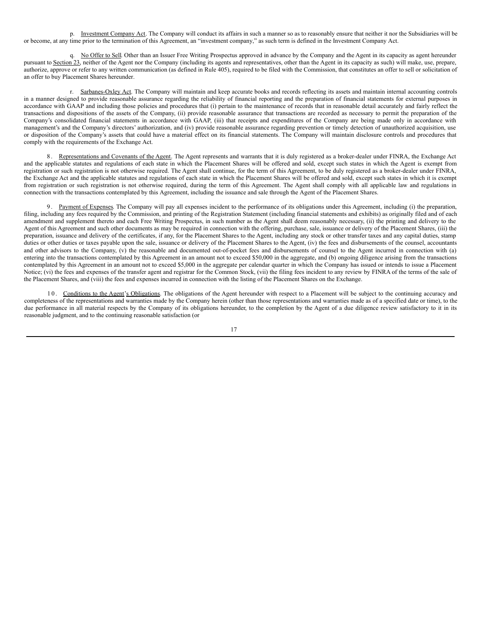p. Investment Company Act. The Company will conduct its affairs in such a manner so as to reasonably ensure that neither it nor the Subsidiaries will be or become, at any time prior to the termination of this Agreement, an "investment company," as such term is defined in the Investment Company Act.

q. No Offer to Sell. Other than an Issuer Free Writing Prospectus approved in advance by the Company and the Agent in its capacity as agent hereunder pursuant to Section 23, neither of the Agent nor the Company (including its agents and representatives, other than the Agent in its capacity as such) will make, use, prepare, authorize, approve or refer to any written communication (as defined in Rule 405), required to be filed with the Commission, that constitutes an offer to sell or solicitation of an offer to buy Placement Shares hereunder.

r. Sarbanes-Oxley Act. The Company will maintain and keep accurate books and records reflecting its assets and maintain internal accounting controls in a manner designed to provide reasonable assurance regarding the reliability of financial reporting and the preparation of financial statements for external purposes in accordance with GAAP and including those policies and procedures that (i) pertain to the maintenance of records that in reasonable detail accurately and fairly reflect the transactions and dispositions of the assets of the Company, (ii) provide reasonable assurance that transactions are recorded as necessary to permit the preparation of the Company's consolidated financial statements in accordance with GAAP, (iii) that receipts and expenditures of the Company are being made only in accordance with management's and the Company's directors' authorization, and (iv) provide reasonable assurance regarding prevention or timely detection of unauthorized acquisition, use or disposition of the Company's assets that could have a material effect on its financial statements. The Company will maintain disclosure controls and procedures that comply with the requirements of the Exchange Act.

8. Representations and Covenants of the Agent. The Agent represents and warrants that it is duly registered as a broker-dealer under FINRA, the Exchange Act and the applicable statutes and regulations of each state in which the Placement Shares will be offered and sold, except such states in which the Agent is exempt from registration or such registration is not otherwise required. The Agent shall continue, for the term of this Agreement, to be duly registered as a broker-dealer under FINRA, the Exchange Act and the applicable statutes and regulations of each state in which the Placement Shares will be offered and sold, except such states in which it is exempt from registration or such registration is not otherwise required, during the term of this Agreement. The Agent shall comply with all applicable law and regulations in connection with the transactions contemplated by this Agreement, including the issuance and sale through the Agent of the Placement Shares.

9. Payment of Expenses. The Company will pay all expenses incident to the performance of its obligations under this Agreement, including (i) the preparation, filing, including any fees required by the Commission, and printing of the Registration Statement (including financial statements and exhibits) as originally filed and of each amendment and supplement thereto and each Free Writing Prospectus, in such number as the Agent shall deem reasonably necessary, (ii) the printing and delivery to the Agent of this Agreement and such other documents as may be required in connection with the offering, purchase, sale, issuance or delivery of the Placement Shares, (iii) the preparation, issuance and delivery of the certificates, if any, for the Placement Shares to the Agent, including any stock or other transfer taxes and any capital duties, stamp duties or other duties or taxes payable upon the sale, issuance or delivery of the Placement Shares to the Agent, (iv) the fees and disbursements of the counsel, accountants and other advisors to the Company,  $(v)$  the reasonable and documented out-of-pocket fees and disbursements of counsel to the Agent incurred in connection with (a) entering into the transactions contemplated by this Agreement in an amount not to exceed \$50,000 in the aggregate, and (b) ongoing diligence arising from the transactions contemplated by this Agreement in an amount not to exceed \$5,000 in the aggregate per calendar quarter in which the Company has issued or intends to issue a Placement Notice; (vi) the fees and expenses of the transfer agent and registrar for the Common Stock, (vii) the filing fees incident to any review by FINRA of the terms of the sale of the Placement Shares, and (viii) the fees and expenses incurred in connection with the listing of the Placement Shares on the Exchange.

10. Conditions to the Agent's Obligations. The obligations of the Agent hereunder with respect to a Placement will be subject to the continuing accuracy and completeness of the representations and warranties made by the Company herein (other than those representations and warranties made as of a specified date or time), to the due performance in all material respects by the Company of its obligations hereunder, to the completion by the Agent of a due diligence review satisfactory to it in its reasonable judgment, and to the continuing reasonable satisfaction (or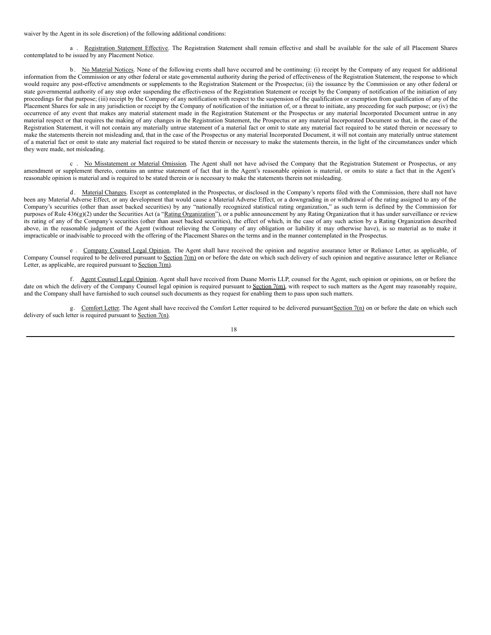waiver by the Agent in its sole discretion) of the following additional conditions:

a . Registration Statement Effective. The Registration Statement shall remain effective and shall be available for the sale of all Placement Shares contemplated to be issued by any Placement Notice.

b. No Material Notices. None of the following events shall have occurred and be continuing: (i) receipt by the Company of any request for additional information from the Commission or any other federal or state governmental authority during the period of effectiveness of the Registration Statement, the response to which would require any post-effective amendments or supplements to the Registration Statement or the Prospectus; (ii) the issuance by the Commission or any other federal or state governmental authority of any stop order suspending the effectiveness of the Registration Statement or receipt by the Company of notification of the initiation of any proceedings for that purpose; (iii) receipt by the Company of any notification with respect to the suspension of the qualification or exemption from qualification of any of the Placement Shares for sale in any jurisdiction or receipt by the Company of notification of the initiation of, or a threat to initiate, any proceeding for such purpose; or (iv) the occurrence of any event that makes any material statement made in the Registration Statement or the Prospectus or any material Incorporated Document untrue in any material respect or that requires the making of any changes in the Registration Statement, the Prospectus or any material Incorporated Document so that, in the case of the Registration Statement, it will not contain any materially untrue statement of a material fact or omit to state any material fact required to be stated therein or necessary to make the statements therein not misleading and, that in the case of the Prospectus or any material Incorporated Document, it will not contain any materially untrue statement of a material fact or omit to state any material fact required to be stated therein or necessary to make the statements therein, in the light of the circumstances under which they were made, not misleading.

c . No Misstatement or Material Omission. The Agent shall not have advised the Company that the Registration Statement or Prospectus, or any amendment or supplement thereto, contains an untrue statement of fact that in the Agent's reasonable opinion is material, or omits to state a fact that in the Agent's reasonable opinion is material and is required to be stated therein or is necessary to make the statements therein not misleading.

d. Material Changes. Except as contemplated in the Prospectus, or disclosed in the Company's reports filed with the Commission, there shall not have been any Material Adverse Effect, or any development that would cause a Material Adverse Effect, or a downgrading in or withdrawal of the rating assigned to any of the Company's securities (other than asset backed securities) by any "nationally recognized statistical rating organization," as such term is defined by the Commission for purposes of Rule 436(g)(2) under the Securities Act (a "Rating Organization"), or a public announcement by any Rating Organization that it has under surveillance or review its rating of any of the Company's securities (other than asset backed securities), the effect of which, in the case of any such action by a Rating Organization described above, in the reasonable judgment of the Agent (without relieving the Company of any obligation or liability it may otherwise have), is so material as to make it impracticable or inadvisable to proceed with the offering of the Placement Shares on the terms and in the manner contemplated in the Prospectus.

e . Company Counsel Legal Opinion. The Agent shall have received the opinion and negative assurance letter or Reliance Letter, as applicable, of Company Counsel required to be delivered pursuant to Section 7(m) on or before the date on which such delivery of such opinion and negative assurance letter or Reliance Letter, as applicable, are required pursuant to Section 7(m).

f. Agent Counsel Legal Opinion. Agent shall have received from Duane Morris LLP, counsel for the Agent, such opinion or opinions, on or before the date on which the delivery of the Company Counsel legal opinion is required pursuant to Section 7(m), with respect to such matters as the Agent may reasonably require, and the Company shall have furnished to such counsel such documents as they request for enabling them to pass upon such matters.

g. Comfort Letter. The Agent shall have received the Comfort Letter required to be delivered pursuant Section 7(n) on or before the date on which such delivery of such letter is required pursuant to Section 7(n).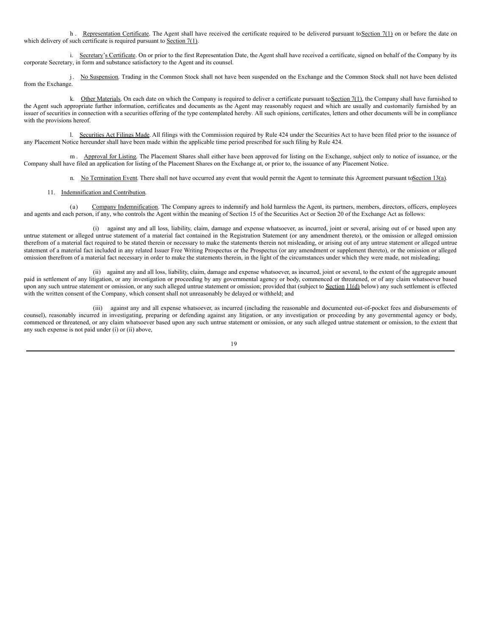h. Representation Certificate. The Agent shall have received the certificate required to be delivered pursuant to Section 7(1) on or before the date on which delivery of such certificate is required pursuant to Section 7(1).

i. Secretary's Certificate. On or prior to the first Representation Date, the Agent shall have received a certificate, signed on behalf of the Company by its corporate Secretary, in form and substance satisfactory to the Agent and its counsel.

j. No Suspension. Trading in the Common Stock shall not have been suspended on the Exchange and the Common Stock shall not have been delisted from the Exchange.

k. Other Materials. On each date on which the Company is required to deliver a certificate pursuant to Section 7(1), the Company shall have furnished to the Agent such appropriate further information, certificates and documents as the Agent may reasonably request and which are usually and customarily furnished by an issuer of securities in connection with a securities offering of the type contemplated hereby. All such opinions, certificates, letters and other documents will be in compliance with the provisions hereof.

l. Securities Act Filings Made. All filings with the Commission required by Rule 424 under the Securities Act to have been filed prior to the issuance of any Placement Notice hereunder shall have been made within the applicable time period prescribed for such filing by Rule 424.

m. Approval for Listing. The Placement Shares shall either have been approved for listing on the Exchange, subject only to notice of issuance, or the Company shall have filed an application for listing of the Placement Shares on the Exchange at, or prior to, the issuance of any Placement Notice.

n. No Termination Event. There shall not have occurred any event that would permit the Agent to terminate this Agreement pursuant toSection 13(a).

#### 11. Indemnification and Contribution.

(a) Company Indemnification. The Company agrees to indemnify and hold harmless the Agent, its partners, members, directors, officers, employees and agents and each person, if any, who controls the Agent within the meaning of Section 15 of the Securities Act or Section 20 of the Exchange Act as follows:

(i) against any and all loss, liability, claim, damage and expense whatsoever, as incurred, joint or several, arising out of or based upon any untrue statement or alleged untrue statement of a material fact contained in the Registration Statement (or any amendment thereto), or the omission or alleged omission therefrom of a material fact required to be stated therein or necessary to make the statements therein not misleading, or arising out of any untrue statement or alleged untrue statement of a material fact included in any related Issuer Free Writing Prospectus or the Prospectus (or any amendment or supplement thereto), or the omission or alleged omission therefrom of a material fact necessary in order to make the statements therein, in the light of the circumstances under which they were made, not misleading;

(ii) against any and all loss, liability, claim, damage and expense whatsoever, as incurred, joint or several, to the extent of the aggregate amount paid in settlement of any litigation, or any investigation or proceeding by any governmental agency or body, commenced or threatened, or of any claim whatsoever based upon any such untrue statement or omission, or any such alleged untrue statement or omission; provided that (subject to Section 11(d) below) any such settlement is effected with the written consent of the Company, which consent shall not unreasonably be delayed or withheld; and

(iii) against any and all expense whatsoever, as incurred (including the reasonable and documented out-of-pocket fees and disbursements of counsel), reasonably incurred in investigating, preparing or defending against any litigation, or any investigation or proceeding by any governmental agency or body, commenced or threatened, or any claim whatsoever based upon any such untrue statement or omission, or any such alleged untrue statement or omission, to the extent that any such expense is not paid under (i) or (ii) above,

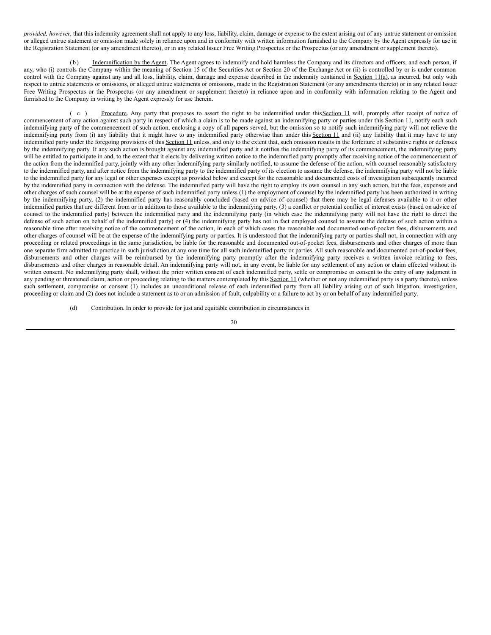*provided, however*, that this indemnity agreement shall not apply to any loss, liability, claim, damage or expense to the extent arising out of any untrue statement or omission or alleged untrue statement or omission made solely in reliance upon and in conformity with written information furnished to the Company by the Agent expressly for use in the Registration Statement (or any amendment thereto), or in any related Issuer Free Writing Prospectus or the Prospectus (or any amendment or supplement thereto).

(b) Indemnification by the Agent. The Agent agrees to indemnify and hold harmless the Company and its directors and officers, and each person, if any, who (i) controls the Company within the meaning of Section 15 of the Securities Act or Section 20 of the Exchange Act or (ii) is controlled by or is under common control with the Company against any and all loss, liability, claim, damage and expense described in the indemnity contained in Section 11(a), as incurred, but only with respect to untrue statements or omissions, or alleged untrue statements or omissions, made in the Registration Statement (or any amendments thereto) or in any related Issuer Free Writing Prospectus or the Prospectus (or any amendment or supplement thereto) in reliance upon and in conformity with information relating to the Agent and furnished to the Company in writing by the Agent expressly for use therein.

( c ) Procedure. Any party that proposes to assert the right to be indemnified under this Section 11 will, promptly after receipt of notice of commencement of any action against such party in respect of which a claim is to be made against an indemnifying party or parties under this Section 11, notify each such indemnifying party of the commencement of such action, enclosing a copy of all papers served, but the omission so to notify such indemnifying party will not relieve the indemnifying party from (i) any liability that it might have to any indemnified party otherwise than under this Section 11 and (ii) any liability that it may have to any indemnified party under the foregoing provisions of this Section 11 unless, and only to the extent that, such omission results in the forfeiture of substantive rights or defenses by the indemnifying party. If any such action is brought against any indemnified party and it notifies the indemnifying party of its commencement, the indemnifying party will be entitled to participate in and, to the extent that it elects by delivering written notice to the indemnified party promptly after receiving notice of the commencement of the action from the indemnified party, jointly with any other indemnifying party similarly notified, to assume the defense of the action, with counsel reasonably satisfactory to the indemnified party, and after notice from the indemnifying party to the indemnified party of its election to assume the defense, the indemnifying party will not be liable to the indemnified party for any legal or other expenses except as provided below and except for the reasonable and documented costs of investigation subsequently incurred by the indemnified party in connection with the defense. The indemnified party will have the right to employ its own counsel in any such action, but the fees, expenses and other charges of such counsel will be at the expense of such indemnified party unless (1) the employment of counsel by the indemnified party has been authorized in writing by the indemnifying party, (2) the indemnified party has reasonably concluded (based on advice of counsel) that there may be legal defenses available to it or other indemnified parties that are different from or in addition to those available to the indemnifying party, (3) a conflict or potential conflict of interest exists (based on advice of counsel to the indemnified party) between the indemnified party and the indemnifying party (in which case the indemnifying party will not have the right to direct the defense of such action on behalf of the indemnified party) or (4) the indemnifying party has not in fact employed counsel to assume the defense of such action within a reasonable time after receiving notice of the commencement of the action, in each of which cases the reasonable and documented out-of-pocket fees, disbursements and other charges of counsel will be at the expense of the indemnifying party or parties. It is understood that the indemnifying party or parties shall not, in connection with any proceeding or related proceedings in the same jurisdiction, be liable for the reasonable and documented out-of-pocket fees, disbursements and other charges of more than one separate firm admitted to practice in such jurisdiction at any one time for all such indemnified party or parties. All such reasonable and documented out-of-pocket fees, disbursements and other charges will be reimbursed by the indemnifying party promptly after the indemnifying party receives a written invoice relating to fees, disbursements and other charges in reasonable detail. An indemnifying party will not, in any event, be liable for any settlement of any action or claim effected without its written consent. No indemnifying party shall, without the prior written consent of each indemnified party, settle or compromise or consent to the entry of any judgment in any pending or threatened claim, action or proceeding relating to the matters contemplated by this Section 11 (whether or not any indemnified party is a party thereto), unless such settlement, compromise or consent (1) includes an unconditional release of each indemnified party from all liability arising out of such litigation, investigation, proceeding or claim and (2) does not include a statement as to or an admission of fault, culpability or a failure to act by or on behalf of any indemnified party.

(d) Contribution. In order to provide for just and equitable contribution in circumstances in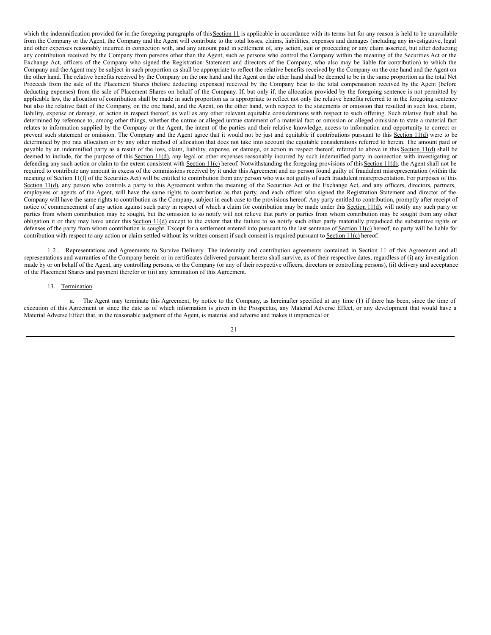which the indemnification provided for in the foregoing paragraphs of this Section 11 is applicable in accordance with its terms but for any reason is held to be unavailable from the Company or the Agent, the Company and the Agent will contribute to the total losses, claims, liabilities, expenses and damages (including any investigative, legal and other expenses reasonably incurred in connection with, and any amount paid in settlement of, any action, suit or proceeding or any claim asserted, but after deducting any contribution received by the Company from persons other than the Agent, such as persons who control the Company within the meaning of the Securities Act or the Exchange Act, officers of the Company who signed the Registration Statement and directors of the Company, who also may be liable for contribution) to which the Company and the Agent may be subject in such proportion as shall be appropriate to reflect the relative benefits received by the Company on the one hand and the Agent on the other hand. The relative benefits received by the Company on the one hand and the Agent on the other hand shall be deemed to be in the same proportion as the total Net Proceeds from the sale of the Placement Shares (before deducting expenses) received by the Company bear to the total compensation received by the Agent (before deducting expenses) from the sale of Placement Shares on behalf of the Company. If, but only if, the allocation provided by the foregoing sentence is not permitted by applicable law, the allocation of contribution shall be made in such proportion as is appropriate to reflect not only the relative benefits referred to in the foregoing sentence but also the relative fault of the Company, on the one hand, and the Agent, on the other hand, with respect to the statements or omission that resulted in such loss, claim, liability, expense or damage, or action in respect thereof, as well as any other relevant equitable considerations with respect to such offering. Such relative fault shall be determined by reference to, among other things, whether the untrue or alleged untrue statement of a material fact or omission or alleged omission to state a material fact relates to information supplied by the Company or the Agent, the intent of the parties and their relative knowledge, access to information and opportunity to correct or prevent such statement or omission. The Company and the Agent agree that it would not be just and equitable if contributions pursuant to this Section 11(d) were to be determined by pro rata allocation or by any other method of allocation that does not take into account the equitable considerations referred to herein. The amount paid or payable by an indemnified party as a result of the loss, claim, liability, expense, or damage, or action in respect thereof, referred to above in this Section 11(d) shall be deemed to include, for the purpose of this Section 11(d), any legal or other expenses reasonably incurred by such indemnified party in connection with investigating or defending any such action or claim to the extent consistent with Section 11(c) hereof. Notwithstanding the foregoing provisions of this Section 11(d), the Agent shall not be required to contribute any amount in excess of the commissions received by it under this Agreement and no person found guilty of fraudulent misrepresentation (within the meaning of Section 11(f) of the Securities Act) will be entitled to contribution from any person who was not guilty of such fraudulent misrepresentation. For purposes of this Section 11(d), any person who controls a party to this Agreement within the meaning of the Securities Act or the Exchange Act, and any officers, directors, partners, employees or agents of the Agent, will have the same rights to contribution as that party, and each officer who signed the Registration Statement and director of the Company will have the same rights to contribution as the Company, subject in each case to the provisions hereof. Any party entitled to contribution, promptly after receipt of notice of commencement of any action against such party in respect of which a claim for contribution may be made under this Section 11(d), will notify any such party or parties from whom contribution may be sought, but the omission to so notify will not relieve that party or parties from whom contribution may be sought from any other obligation it or they may have under this Section 11(d) except to the extent that the failure to so notify such other party materially prejudiced the substantive rights or defenses of the party from whom contribution is sought. Except for a settlement entered into pursuant to the last sentence of Section 11(c) hereof, no party will be liable for contribution with respect to any action or claim settled without its written consent if such consent is required pursuant to Section 11(c) hereof.

1 2 . Representations and Agreements to Survive Delivery. The indemnity and contribution agreements contained in Section 11 of this Agreement and all representations and warranties of the Company herein or in certificates delivered pursuant hereto shall survive, as of their respective dates, regardless of (i) any investigation made by or on behalf of the Agent, any controlling persons, or the Company (or any of their respective officers, directors or controlling persons), (ii) delivery and acceptance of the Placement Shares and payment therefor or (iii) any termination of this Agreement.

#### 13. Termination.

a. The Agent may terminate this Agreement, by notice to the Company, as hereinafter specified at any time (1) if there has been, since the time of execution of this Agreement or since the date as of which information is given in the Prospectus, any Material Adverse Effect, or any development that would have a Material Adverse Effect that, in the reasonable judgment of the Agent, is material and adverse and makes it impractical or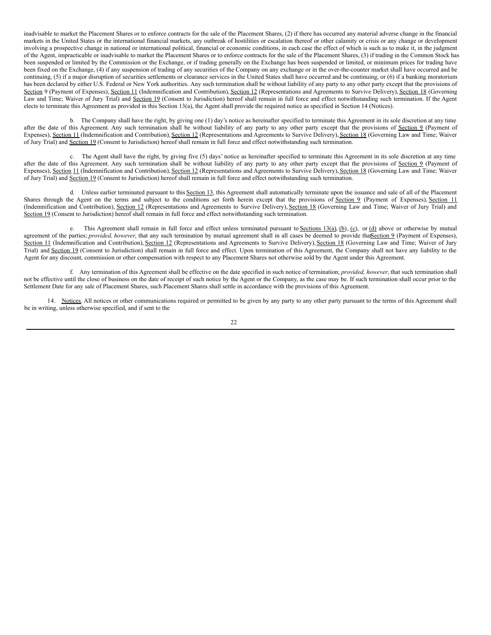inadvisable to market the Placement Shares or to enforce contracts for the sale of the Placement Shares, (2) if there has occurred any material adverse change in the financial markets in the United States or the international financial markets, any outbreak of hostilities or escalation thereof or other calamity or crisis or any change or development involving a prospective change in national or international political, financial or economic conditions, in each case the effect of which is such as to make it, in the judgment of the Agent, impracticable or inadvisable to market the Placement Shares or to enforce contracts for the sale of the Placement Shares, (3) if trading in the Common Stock has been suspended or limited by the Commission or the Exchange, or if trading generally on the Exchange has been suspended or limited, or minimum prices for trading have been fixed on the Exchange, (4) if any suspension of trading of any securities of the Company on any exchange or in the over-the-counter market shall have occurred and be continuing, (5) if a major disruption of securities settlements or clearance services in the United States shall have occurred and be continuing, or (6) if a banking moratorium has been declared by either U.S. Federal or New York authorities. Any such termination shall be without liability of any party to any other party except that the provisions of Section 9 (Payment of Expenses), Section 11 (Indemnification and Contribution), Section 12 (Representations and Agreements to Survive Delivery), Section 18 (Governing Law and Time; Waiver of Jury Trial) and Section 19 (Consent to Jurisdiction) hereof shall remain in full force and effect notwithstanding such termination. If the Agent elects to terminate this Agreement as provided in this Section 13(a), the Agent shall provide the required notice as specified in Section 14 (Notices).

b. The Company shall have the right, by giving one (1) day's notice as hereinafter specified to terminate this Agreement in its sole discretion at any time after the date of this Agreement. Any such termination shall be without liability of any party to any other party except that the provisions of Section 9 (Payment of Expenses), Section 11 (Indemnification and Contribution), Section 12 (Representations and Agreements to Survive Delivery), Section 18 (Governing Law and Time; Waiver of Jury Trial) and Section 19 (Consent to Jurisdiction) hereof shall remain in full force and effect notwithstanding such termination.

c. The Agent shall have the right, by giving five (5) days' notice as hereinafter specified to terminate this Agreement in its sole discretion at any time after the date of this Agreement. Any such termination shall be without liability of any party to any other party except that the provisions of Section 9 (Payment of Expenses), Section 11 (Indemnification and Contribution), Section 12 (Representations and Agreements to Survive Delivery), Section 18 (Governing Law and Time; Waiver of Jury Trial) and Section 19 (Consent to Jurisdiction) hereof shall remain in full force and effect notwithstanding such termination.

d. Unless earlier terminated pursuant to this Section 13, this Agreement shall automatically terminate upon the issuance and sale of all of the Placement Shares through the Agent on the terms and subject to the conditions set forth herein except that the provisions of Section 9 (Payment of Expenses), Section 11 (Indemnification and Contribution), Section 12 (Representations and Agreements to Survive Delivery), Section 18 (Governing Law and Time; Waiver of Jury Trial) and Section 19 (Consent to Jurisdiction) hereof shall remain in full force and effect notwithstanding such termination.

e. This Agreement shall remain in full force and effect unless terminated pursuant to Sections 13(a),  $(b)$ ,  $(c)$ , or  $(d)$  above or otherwise by mutual agreement of the parties; *provided, however*, that any such termination by mutual agreement shall in all cases be deemed to provide tha**Section 9** (Payment of Expenses), Section 11 (Indemnification and Contribution), Section 12 (Representations and Agreements to Survive Delivery), Section 18 (Governing Law and Time; Waiver of Jury Trial) and Section 19 (Consent to Jurisdiction) shall remain in full force and effect. Upon termination of this Agreement, the Company shall not have any liability to the Agent for any discount, commission or other compensation with respect to any Placement Shares not otherwise sold by the Agent under this Agreement.

f. Any termination of this Agreement shall be effective on the date specified in such notice of termination; *provided, however*, that such termination shall not be effective until the close of business on the date of receipt of such notice by the Agent or the Company, as the case may be. If such termination shall occur prior to the Settlement Date for any sale of Placement Shares, such Placement Shares shall settle in accordance with the provisions of this Agreement.

14. Notices. All notices or other communications required or permitted to be given by any party to any other party pursuant to the terms of this Agreement shall be in writing, unless otherwise specified, and if sent to the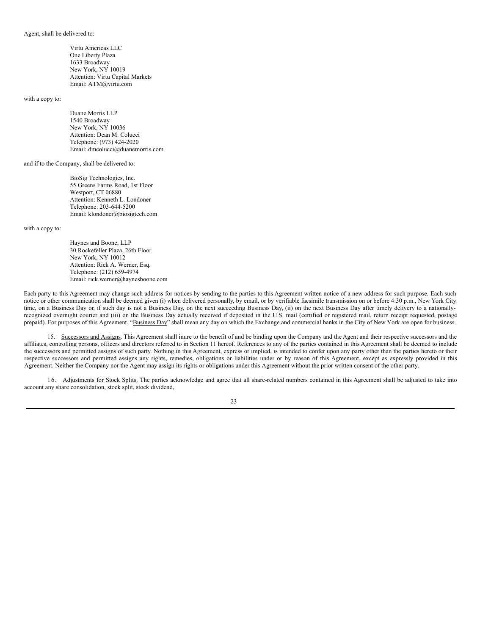#### Agent, shall be delivered to:

Virtu Americas LLC One Liberty Plaza 1633 Broadway New York, NY 10019 Attention: Virtu Capital Markets Email: ATM@virtu.com

with a copy to:

Duane Morris LLP 1540 Broadway New York, NY 10036 Attention: Dean M. Colucci Telephone: (973) 424-2020 Email: dmcolucci@duanemorris.com

and if to the Company, shall be delivered to:

BioSig Technologies, Inc. 55 Greens Farms Road, 1st Floor Westport, CT 06880 Attention: Kenneth L. Londoner Telephone: 203-644-5200 Email: klondoner@biosigtech.com

with a copy to:

Haynes and Boone, LLP 30 Rockefeller Plaza, 26th Floor New York, NY 10012 Attention: Rick A. Werner, Esq. Telephone: (212) 659-4974 Email: rick.werner@haynesboone.com

Each party to this Agreement may change such address for notices by sending to the parties to this Agreement written notice of a new address for such purpose. Each such notice or other communication shall be deemed given (i) when delivered personally, by email, or by verifiable facsimile transmission on or before 4:30 p.m., New York City time, on a Business Day or, if such day is not a Business Day, on the next succeeding Business Day, (ii) on the next Business Day after timely delivery to a nationallyrecognized overnight courier and (iii) on the Business Day actually received if deposited in the U.S. mail (certified or registered mail, return receipt requested, postage prepaid). For purposes of this Agreement, "Business Day" shall mean any day on which the Exchange and commercial banks in the City of New York are open for business.

15. Successors and Assigns. This Agreement shall inure to the benefit of and be binding upon the Company and the Agent and their respective successors and the affiliates, controlling persons, officers and directors referred to in Section 11 hereof. References to any of the parties contained in this Agreement shall be deemed to include the successors and permitted assigns of such party. Nothing in this Agreement, express or implied, is intended to confer upon any party other than the parties hereto or their respective successors and permitted assigns any rights, remedies, obligations or liabilities under or by reason of this Agreement, except as expressly provided in this Agreement. Neither the Company nor the Agent may assign its rights or obligations under this Agreement without the prior written consent of the other party.

16. Adjustments for Stock Splits. The parties acknowledge and agree that all share-related numbers contained in this Agreement shall be adjusted to take into account any share consolidation, stock split, stock dividend,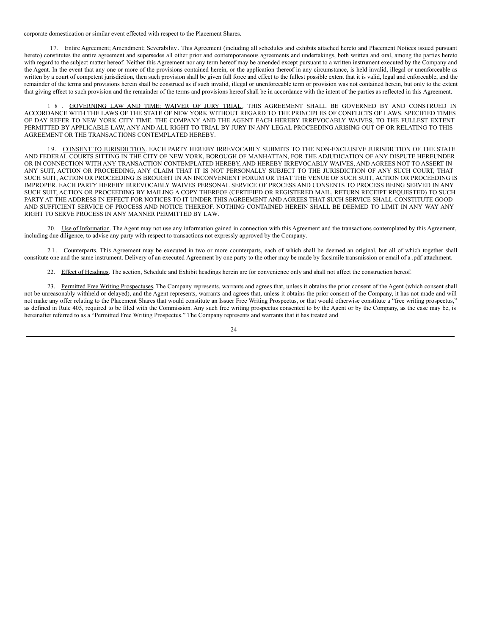corporate domestication or similar event effected with respect to the Placement Shares.

17. Entire Agreement; Amendment; Severability. This Agreement (including all schedules and exhibits attached hereto and Placement Notices issued pursuant hereto) constitutes the entire agreement and supersedes all other prior and contemporaneous agreements and undertakings, both written and oral, among the parties hereto with regard to the subject matter hereof. Neither this Agreement nor any term hereof may be amended except pursuant to a written instrument executed by the Company and the Agent. In the event that any one or more of the provisions contained herein, or the application thereof in any circumstance, is held invalid, illegal or unenforceable as written by a court of competent jurisdiction, then such provision shall be given full force and effect to the fullest possible extent that it is valid, legal and enforceable, and the remainder of the terms and provisions herein shall be construed as if such invalid, illegal or unenforceable term or provision was not contained herein, but only to the extent that giving effect to such provision and the remainder of the terms and provisions hereof shall be in accordance with the intent of the parties as reflected in this Agreement.

1 8 . GOVERNING LAW AND TIME; WAIVER OF JURY TRIAL. THIS AGREEMENT SHALL BE GOVERNED BY AND CONSTRUED IN ACCORDANCE WITH THE LAWS OF THE STATE OF NEW YORK WITHOUT REGARD TO THE PRINCIPLES OF CONFLICTS OF LAWS. SPECIFIED TIMES OF DAY REFER TO NEW YORK CITY TIME. THE COMPANY AND THE AGENT EACH HEREBY IRREVOCABLY WAIVES, TO THE FULLEST EXTENT PERMITTED BY APPLICABLE LAW, ANY AND ALL RIGHT TO TRIAL BY JURY IN ANY LEGAL PROCEEDING ARISING OUT OF OR RELATING TO THIS AGREEMENT OR THE TRANSACTIONS CONTEMPLATED HEREBY.

19. CONSENT TO JURISDICTION. EACH PARTY HEREBY IRREVOCABLY SUBMITS TO THE NON-EXCLUSIVE JURISDICTION OF THE STATE AND FEDERAL COURTS SITTING IN THE CITY OF NEW YORK, BOROUGH OF MANHATTAN, FOR THE ADJUDICATION OF ANY DISPUTE HEREUNDER OR IN CONNECTION WITH ANY TRANSACTION CONTEMPLATED HEREBY, AND HEREBY IRREVOCABLY WAIVES, AND AGREES NOT TO ASSERT IN ANY SUIT, ACTION OR PROCEEDING, ANY CLAIM THAT IT IS NOT PERSONALLY SUBJECT TO THE JURISDICTION OF ANY SUCH COURT, THAT SUCH SUIT, ACTION OR PROCEEDING IS BROUGHT IN AN INCONVENIENT FORUM OR THAT THE VENUE OF SUCH SUIT, ACTION OR PROCEEDING IS IMPROPER. EACH PARTY HEREBY IRREVOCABLY WAIVES PERSONAL SERVICE OF PROCESS AND CONSENTS TO PROCESS BEING SERVED IN ANY SUCH SUIT, ACTION OR PROCEEDING BY MAILING A COPY THEREOF (CERTIFIED OR REGISTERED MAIL, RETURN RECEIPT REQUESTED) TO SUCH PARTY AT THE ADDRESS IN EFFECT FOR NOTICES TO IT UNDER THIS AGREEMENT AND AGREES THAT SUCH SERVICE SHALL CONSTITUTE GOOD AND SUFFICIENT SERVICE OF PROCESS AND NOTICE THEREOF. NOTHING CONTAINED HEREIN SHALL BE DEEMED TO LIMIT IN ANY WAY ANY RIGHT TO SERVE PROCESS IN ANY MANNER PERMITTED BY LAW.

20. Use of Information. The Agent may not use any information gained in connection with this Agreement and the transactions contemplated by this Agreement, including due diligence, to advise any party with respect to transactions not expressly approved by the Company.

21. Counterparts. This Agreement may be executed in two or more counterparts, each of which shall be deemed an original, but all of which together shall constitute one and the same instrument. Delivery of an executed Agreement by one party to the other may be made by facsimile transmission or email of a .pdf attachment.

22. Effect of Headings. The section, Schedule and Exhibit headings herein are for convenience only and shall not affect the construction hereof.

23. Permitted Free Writing Prospectuses. The Company represents, warrants and agrees that, unless it obtains the prior consent of the Agent (which consent shall not be unreasonably withheld or delayed), and the Agent represents, warrants and agrees that, unless it obtains the prior consent of the Company, it has not made and will not make any offer relating to the Placement Shares that would constitute an Issuer Free Writing Prospectus, or that would otherwise constitute a "free writing prospectus," as defined in Rule 405, required to be filed with the Commission. Any such free writing prospectus consented to by the Agent or by the Company, as the case may be, is hereinafter referred to as a "Permitted Free Writing Prospectus." The Company represents and warrants that it has treated and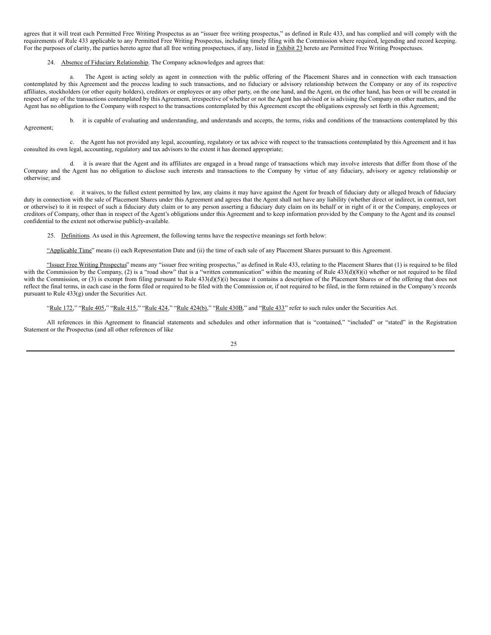agrees that it will treat each Permitted Free Writing Prospectus as an "issuer free writing prospectus," as defined in Rule 433, and has complied and will comply with the requirements of Rule 433 applicable to any Permitted Free Writing Prospectus, including timely filing with the Commission where required, legending and record keeping. For the purposes of clarity, the parties hereto agree that all free writing prospectuses, if any, listed in Exhibit 23 hereto are Permitted Free Writing Prospectuses.

#### 24. Absence of Fiduciary Relationship. The Company acknowledges and agrees that:

a. The Agent is acting solely as agent in connection with the public offering of the Placement Shares and in connection with each transaction contemplated by this Agreement and the process leading to such transactions, and no fiduciary or advisory relationship between the Company or any of its respective affiliates, stockholders (or other equity holders), creditors or employees or any other party, on the one hand, and the Agent, on the other hand, has been or will be created in respect of any of the transactions contemplated by this Agreement, irrespective of whether or not the Agent has advised or is advising the Company on other matters, and the Agent has no obligation to the Company with respect to the transactions contemplated by this Agreement except the obligations expressly set forth in this Agreement;

b. it is capable of evaluating and understanding, and understands and accepts, the terms, risks and conditions of the transactions contemplated by this Agreement;

c. the Agent has not provided any legal, accounting, regulatory or tax advice with respect to the transactions contemplated by this Agreement and it has consulted its own legal, accounting, regulatory and tax advisors to the extent it has deemed appropriate;

d. it is aware that the Agent and its affiliates are engaged in a broad range of transactions which may involve interests that differ from those of the Company and the Agent has no obligation to disclose such interests and transactions to the Company by virtue of any fiduciary, advisory or agency relationship or otherwise; and

e. it waives, to the fullest extent permitted by law, any claims it may have against the Agent for breach of fiduciary duty or alleged breach of fiduciary duty in connection with the sale of Placement Shares under this Agreement and agrees that the Agent shall not have any liability (whether direct or indirect, in contract, tort or otherwise) to it in respect of such a fiduciary duty claim or to any person asserting a fiduciary duty claim on its behalf or in right of it or the Company, employees or creditors of Company, other than in respect of the Agent's obligations under this Agreement and to keep information provided by the Company to the Agent and its counsel confidential to the extent not otherwise publicly-available.

25. Definitions. As used in this Agreement, the following terms have the respective meanings set forth below:

"Applicable Time" means (i) each Representation Date and (ii) the time of each sale of any Placement Shares pursuant to this Agreement.

"Issuer Free Writing Prospectus" means any "issuer free writing prospectus," as defined in Rule 433, relating to the Placement Shares that (1) is required to be filed with the Commission by the Company, (2) is a "road show" that is a "written communication" within the meaning of Rule 433(d)(8)(i) whether or not required to be filed with the Commission, or (3) is exempt from filing pursuant to Rule 433(d)(5)(i) because it contains a description of the Placement Shares or of the offering that does not reflect the final terms, in each case in the form filed or required to be filed with the Commission or, if not required to be filed, in the form retained in the Company's records pursuant to Rule 433(g) under the Securities Act.

"Rule 172," "Rule 405," "Rule 415," "Rule 424," "Rule 424(b)," "Rule 430B," and "Rule 433" refer to such rules under the Securities Act.

All references in this Agreement to financial statements and schedules and other information that is "contained," "included" or "stated" in the Registration Statement or the Prospectus (and all other references of like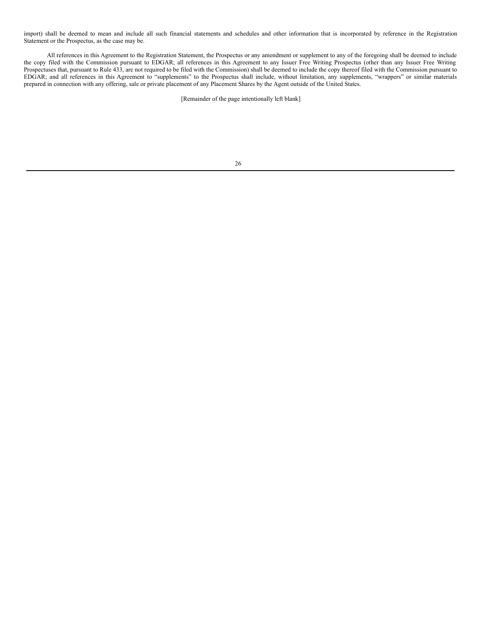import) shall be deemed to mean and include all such financial statements and schedules and other information that is incorporated by reference in the Registration Statement or the Prospectus, as the case may be.

All references in this Agreement to the Registration Statement, the Prospectus or any amendment or supplement to any of the foregoing shall be deemed to include the copy filed with the Commission pursuant to EDGAR; all references in this Agreement to any Issuer Free Writing Prospectus (other than any Issuer Free Writing Prospectuses that, pursuant to Rule 433, are not required to be filed with the Commission) shall be deemed to include the copy thereof filed with the Commission pursuant to EDGAR; and all references in this Agreement to "supplements" to the Prospectus shall include, without limitation, any supplements, "wrappers" or similar materials prepared in connection with any offering, sale or private placement of any Placement Shares by the Agent outside of the United States.

[Remainder of the page intentionally left blank]

| ×<br>ł<br>×,<br>I | ۰.<br>٠          |
|-------------------|------------------|
|                   | I<br>I<br>×<br>٧ |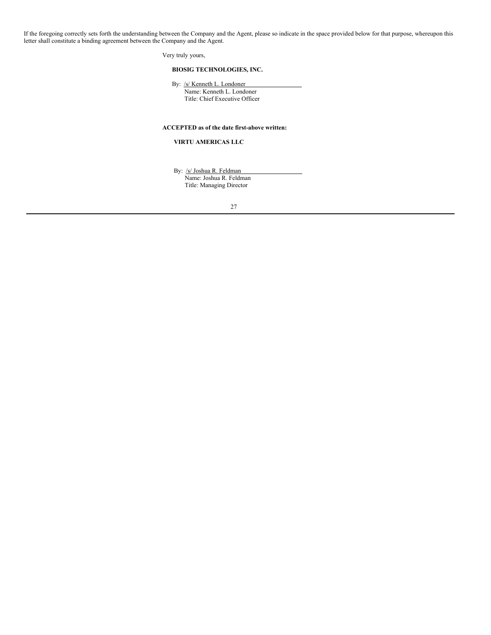If the foregoing correctly sets forth the understanding between the Company and the Agent, please so indicate in the space provided below for that purpose, whereupon this letter shall constitute a binding agreement between the Company and the Agent.

Very truly yours,

## **BIOSIG TECHNOLOGIES, INC.**

By: /s/ Kenneth L. Londoner

Name: Kenneth L. Londoner Title: Chief Executive Officer

# **ACCEPTED as of the date first-above written:**

#### **VIRTU AMERICAS LLC**

By: /s/ Joshua R. Feldman Name: Joshua R. Feldman Title: Managing Director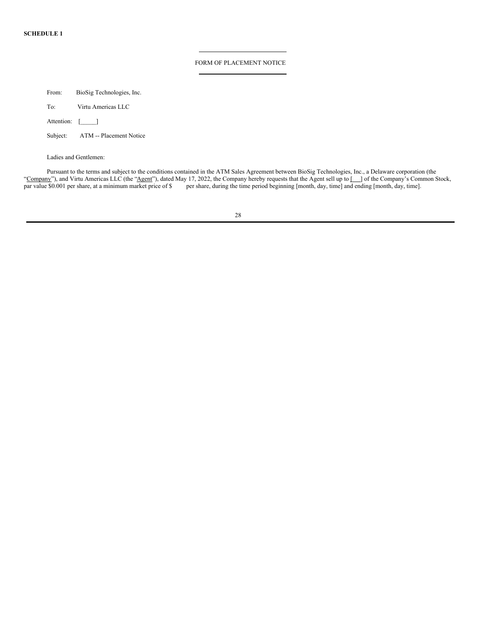## FORM OF PLACEMENT NOTICE

From: BioSig Technologies, Inc. To: Virtu Americas LLC

| Attention: |  |  |
|------------|--|--|
|------------|--|--|

| Subject: |  | ATM -- Placement Notice |
|----------|--|-------------------------|
|----------|--|-------------------------|

Ladies and Gentlemen:

Pursuant to the terms and subject to the conditions contained in the ATM Sales Agreement between BioSig Technologies, Inc., a Delaware corporation (the "Company"), and Virtu Americas LLC (the "Agent"), dated May 17, 2022, the Company hereby requests that the Agent sell up to [ ] of the Company's Common Stock, par value \$0.001 per share, at a minimum market price of \$ per share, during the time period beginning [month, day, time] and ending [month, day, time].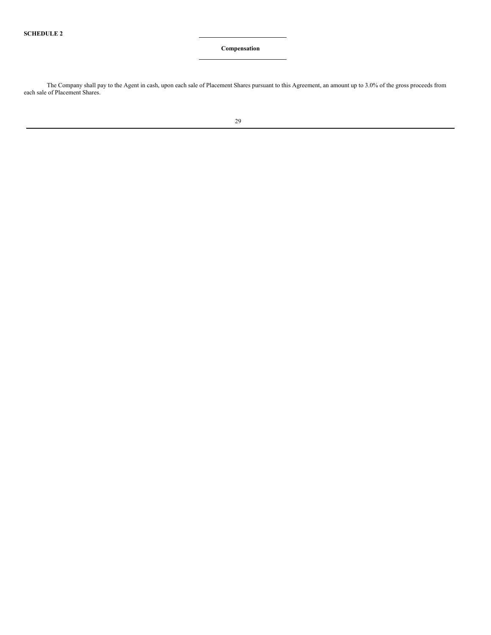## **Compensation**

The Company shall pay to the Agent in cash, upon each sale of Placement Shares pursuant to this Agreement, an amount up to 3.0% of the gross proceeds from each sale of Placement Shares.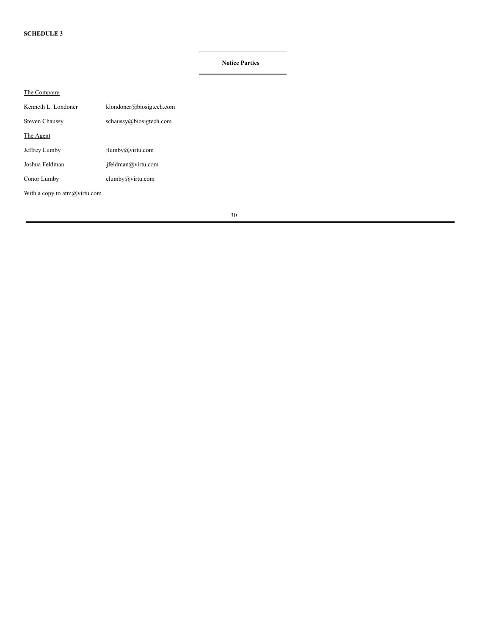# **Notice Parties**

| The Company                       |                           |
|-----------------------------------|---------------------------|
| Kenneth L. Londoner               | klondoner@biosigtech.com  |
| <b>Steven Chaussy</b>             | schauss(a) biosigtech.com |
| The Agent                         |                           |
| Jeffrey Lumby                     | $j$ lumby@virtu.com       |
| Joshua Feldman                    | ifeldman@virtu.com        |
| Conor Lumby                       | clumby@virtu.com          |
| With a copy to $atm(a)$ virtu.com |                           |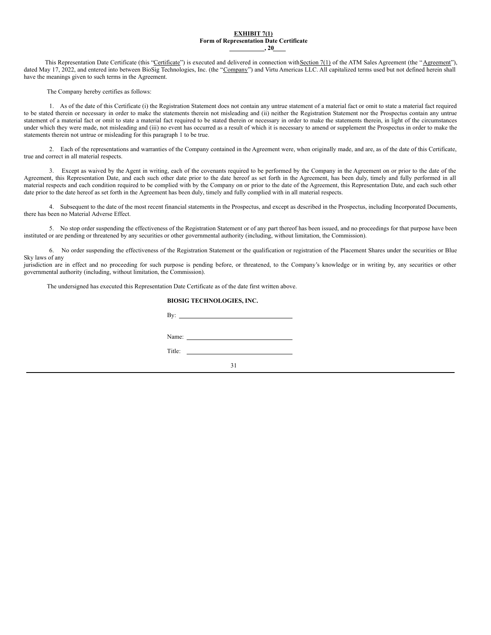#### **EXHIBIT 7(1) Form of Representation Date Certificate , 20**

This Representation Date Certificate (this "Certificate") is executed and delivered in connection with Section 7(1) of the ATM Sales Agreement (the "Agreement"), dated May 17, 2022, and entered into between BioSig Technologies, Inc. (the "Company") and Virtu Americas LLC. All capitalized terms used but not defined herein shall have the meanings given to such terms in the Agreement.

The Company hereby certifies as follows:

1. As of the date of this Certificate (i) the Registration Statement does not contain any untrue statement of a material fact or omit to state a material fact required to be stated therein or necessary in order to make the statements therein not misleading and (ii) neither the Registration Statement nor the Prospectus contain any untrue statement of a material fact or omit to state a material fact required to be stated therein or necessary in order to make the statements therein, in light of the circumstances under which they were made, not misleading and (iii) no event has occurred as a result of which it is necessary to amend or supplement the Prospectus in order to make the statements therein not untrue or misleading for this paragraph 1 to be true.

2. Each of the representations and warranties of the Company contained in the Agreement were, when originally made, and are, as of the date of this Certificate, true and correct in all material respects.

3. Except as waived by the Agent in writing, each of the covenants required to be performed by the Company in the Agreement on or prior to the date of the Agreement, this Representation Date, and each such other date prior to the date hereof as set forth in the Agreement, has been duly, timely and fully performed in all material respects and each condition required to be complied with by the Company on or prior to the date of the Agreement, this Representation Date, and each such other date prior to the date hereof as set forth in the Agreement has been duly, timely and fully complied with in all material respects.

4. Subsequent to the date of the most recent financial statements in the Prospectus, and except as described in the Prospectus, including Incorporated Documents, there has been no Material Adverse Effect.

5. No stop order suspending the effectiveness of the Registration Statement or of any part thereof has been issued, and no proceedings for that purpose have been instituted or are pending or threatened by any securities or other governmental authority (including, without limitation, the Commission).

6. No order suspending the effectiveness of the Registration Statement or the qualification or registration of the Placement Shares under the securities or Blue Sky laws of any

jurisdiction are in effect and no proceeding for such purpose is pending before, or threatened, to the Company's knowledge or in writing by, any securities or other governmental authority (including, without limitation, the Commission).

The undersigned has executed this Representation Date Certificate as of the date first written above.

## **BIOSIG TECHNOLOGIES, INC.**

|        | By: $\qquad \qquad$               |
|--------|-----------------------------------|
|        |                                   |
|        | Name: $\qquad \qquad$             |
|        |                                   |
| Title: | the control of the control of the |
|        | 31                                |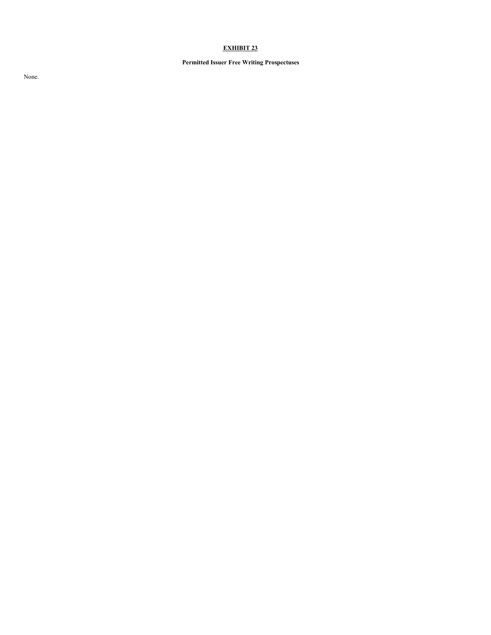# **EXHIBIT 23**

# **Permitted Issuer Free Writing Prospectuses**

None.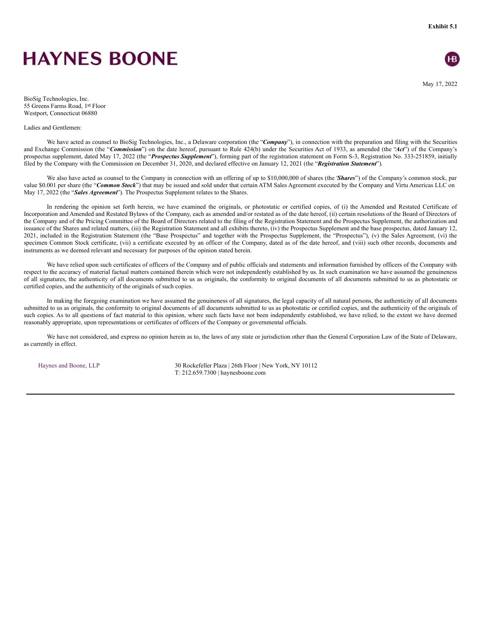# <span id="page-35-0"></span>**HAYNES BOONE**

**Exhibit 5.1**



May 17, 2022

BioSig Technologies, Inc. 55 Greens Farms Road, 1st Floor Westport, Connecticut 06880

#### Ladies and Gentlemen:

We have acted as counsel to BioSig Technologies, Inc., a Delaware corporation (the "*Company*"), in connection with the preparation and filing with the Securities and Exchange Commission (the "*Commission*") on the date hereof, pursuant to Rule 424(b) under the Securities Act of 1933, as amended (the "*Act*") of the Company's prospectus supplement, dated May 17, 2022 (the "*Prospectus Supplement*"), forming part of the registration statement on Form S-3, Registration No. 333-251859, initially filed by the Company with the Commission on December 31, 2020, and declared effective on January 12, 2021 (the "*Registration Statement*").

We also have acted as counsel to the Company in connection with an offering of up to \$10,000,000 of shares (the '*Shares*") of the Company's common stock, par value \$0.001 per share (the "*Common Stock*") that may be issued and sold under that certain ATM Sales Agreement executed by the Company and Virtu Americas LLC on May 17, 2022 (the "*Sales Agreement*"). The Prospectus Supplement relates to the Shares.

In rendering the opinion set forth herein, we have examined the originals, or photostatic or certified copies, of (i) the Amended and Restated Certificate of Incorporation and Amended and Restated Bylaws of the Company, each as amended and/or restated as of the date hereof, (ii) certain resolutions of the Board of Directors of the Company and of the Pricing Committee of the Board of Directors related to the filing of the Registration Statement and the Prospectus Supplement, the authorization and issuance of the Shares and related matters, (iii) the Registration Statement and all exhibits thereto, (iv) the Prospectus Supplement and the base prospectus, dated January 12, 2021, included in the Registration Statement (the "Base Prospectus" and together with the Prospectus Supplement, the "Prospectus"), (v) the Sales Agreement, (vi) the specimen Common Stock certificate, (vii) a certificate executed by an officer of the Company, dated as of the date hereof, and (viii) such other records, documents and instruments as we deemed relevant and necessary for purposes of the opinion stated herein.

We have relied upon such certificates of officers of the Company and of public officials and statements and information furnished by officers of the Company with respect to the accuracy of material factual matters contained therein which were not independently established by us. In such examination we have assumed the genuineness of all signatures, the authenticity of all documents submitted to us as originals, the conformity to original documents of all documents submitted to us as photostatic or certified copies, and the authenticity of the originals of such copies.

In making the foregoing examination we have assumed the genuineness of all signatures, the legal capacity of all natural persons, the authenticity of all documents submitted to us as originals, the conformity to original documents of all documents submitted to us as photostatic or certified copies, and the authenticity of the originals of such copies. As to all questions of fact material to this opinion, where such facts have not been independently established, we have relied, to the extent we have deemed reasonably appropriate, upon representations or certificates of officers of the Company or governmental officials.

We have not considered, and express no opinion herein as to, the laws of any state or jurisdiction other than the General Corporation Law of the State of Delaware, as currently in effect.

Haynes and Boone, LLP 30 Rockefeller Plaza | 26th Floor | New York, NY 10112 T: 212.659.7300 | haynesboone.com